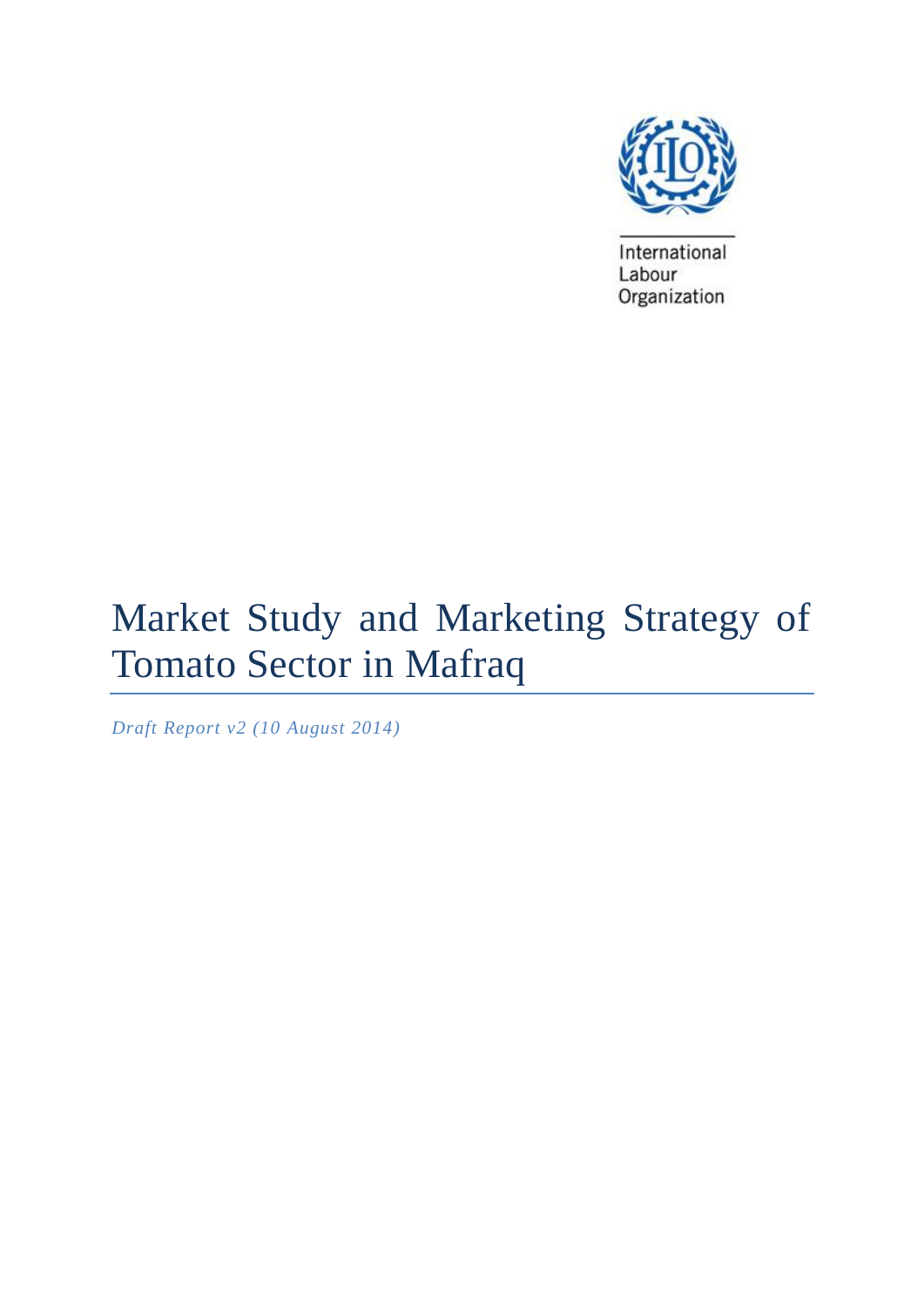

International Labour Organization

# Market Study and Marketing Strategy of Tomato Sector in Mafraq

*Draft Report v2 (10 August 2014)*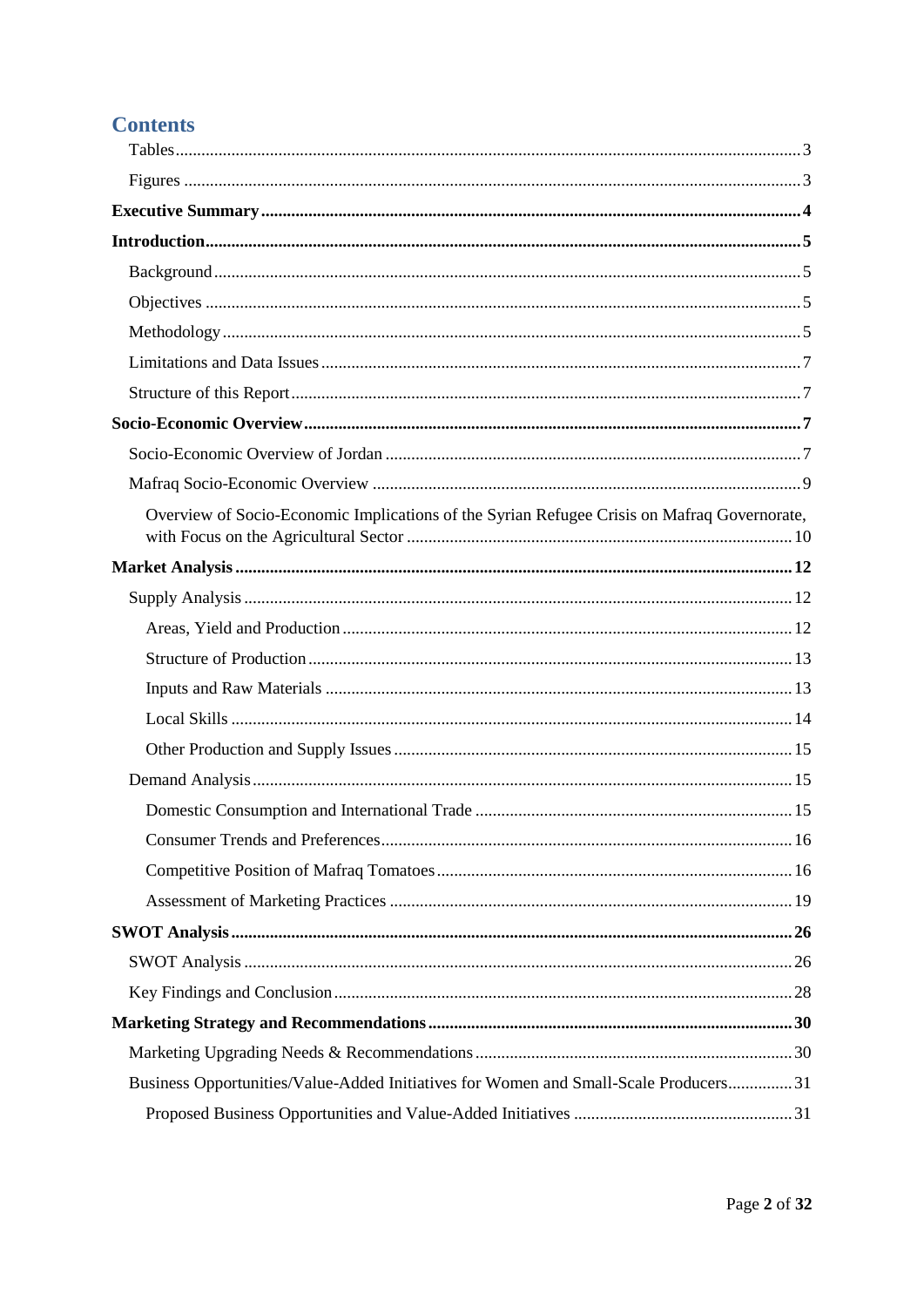# **Contents**

| Overview of Socio-Economic Implications of the Syrian Refugee Crisis on Mafraq Governorate, |  |
|---------------------------------------------------------------------------------------------|--|
|                                                                                             |  |
|                                                                                             |  |
|                                                                                             |  |
|                                                                                             |  |
|                                                                                             |  |
|                                                                                             |  |
|                                                                                             |  |
|                                                                                             |  |
|                                                                                             |  |
|                                                                                             |  |
|                                                                                             |  |
|                                                                                             |  |
|                                                                                             |  |
|                                                                                             |  |
|                                                                                             |  |
|                                                                                             |  |
|                                                                                             |  |
| Business Opportunities/Value-Added Initiatives for Women and Small-Scale Producers 31       |  |
|                                                                                             |  |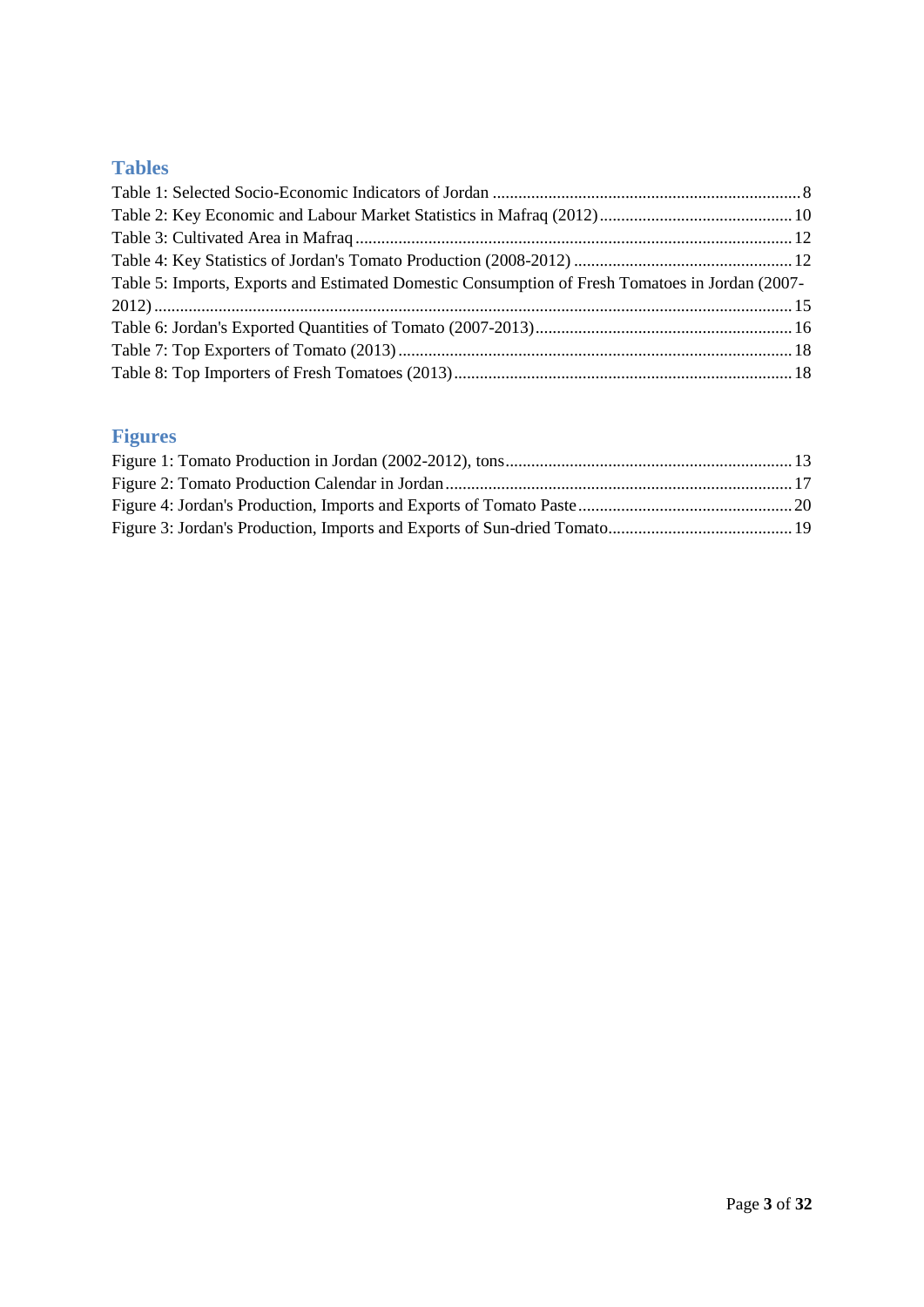# <span id="page-2-0"></span>**Tables**

| Table 5: Imports, Exports and Estimated Domestic Consumption of Fresh Tomatoes in Jordan (2007- |  |
|-------------------------------------------------------------------------------------------------|--|
|                                                                                                 |  |
|                                                                                                 |  |
|                                                                                                 |  |
|                                                                                                 |  |

# <span id="page-2-1"></span>**Figures**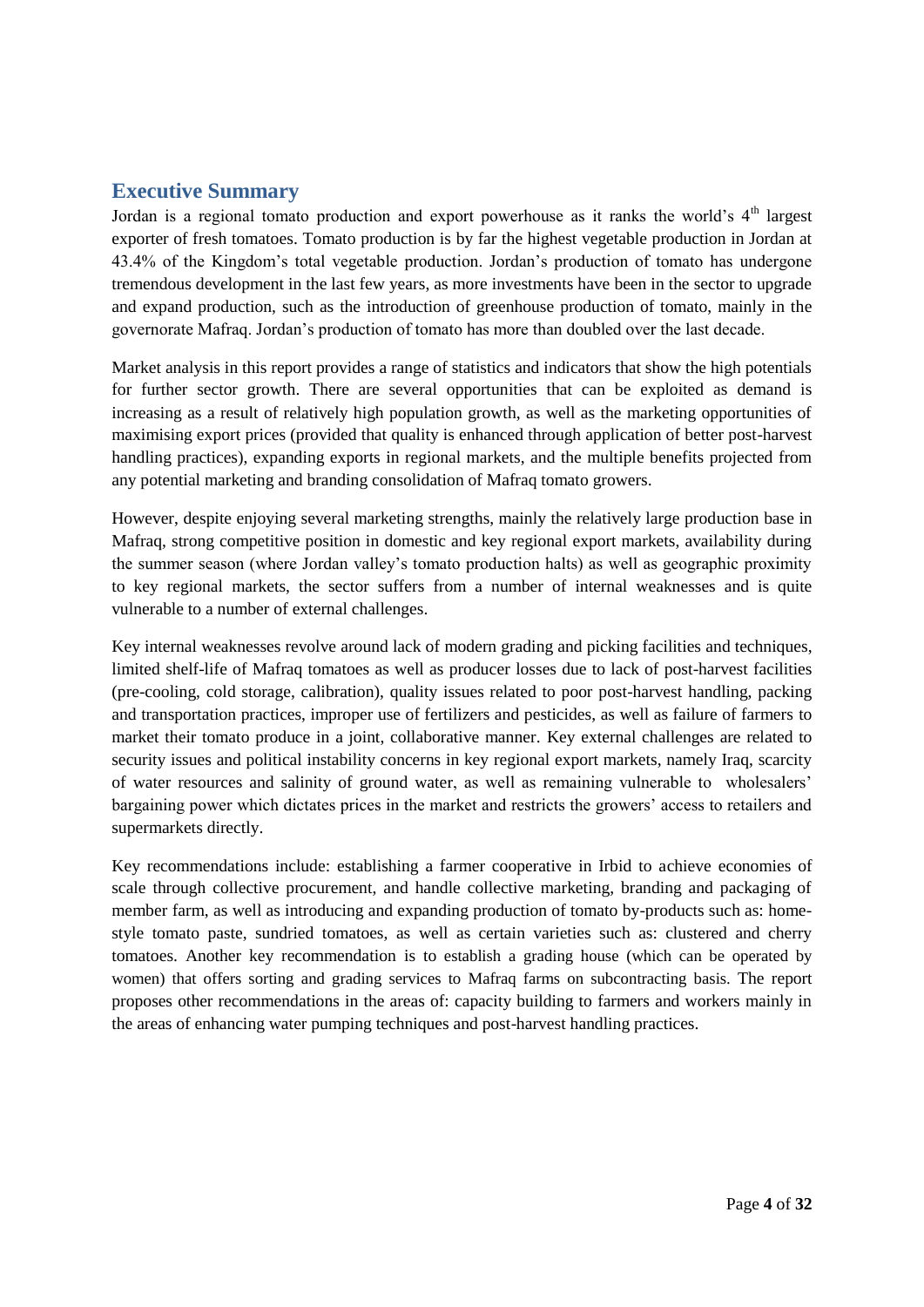### <span id="page-3-0"></span>**Executive Summary**

Jordan is a regional tomato production and export powerhouse as it ranks the world's  $4<sup>th</sup>$  largest exporter of fresh tomatoes. Tomato production is by far the highest vegetable production in Jordan at 43.4% of the Kingdom's total vegetable production. Jordan's production of tomato has undergone tremendous development in the last few years, as more investments have been in the sector to upgrade and expand production, such as the introduction of greenhouse production of tomato, mainly in the governorate Mafraq. Jordan's production of tomato has more than doubled over the last decade.

Market analysis in this report provides a range of statistics and indicators that show the high potentials for further sector growth. There are several opportunities that can be exploited as demand is increasing as a result of relatively high population growth, as well as the marketing opportunities of maximising export prices (provided that quality is enhanced through application of better post-harvest handling practices), expanding exports in regional markets, and the multiple benefits projected from any potential marketing and branding consolidation of Mafraq tomato growers.

However, despite enjoying several marketing strengths, mainly the relatively large production base in Mafraq, strong competitive position in domestic and key regional export markets, availability during the summer season (where Jordan valley's tomato production halts) as well as geographic proximity to key regional markets, the sector suffers from a number of internal weaknesses and is quite vulnerable to a number of external challenges.

Key internal weaknesses revolve around lack of modern grading and picking facilities and techniques, limited shelf-life of Mafraq tomatoes as well as producer losses due to lack of post-harvest facilities (pre-cooling, cold storage, calibration), quality issues related to poor post-harvest handling, packing and transportation practices, improper use of fertilizers and pesticides, as well as failure of farmers to market their tomato produce in a joint, collaborative manner. Key external challenges are related to security issues and political instability concerns in key regional export markets, namely Iraq, scarcity of water resources and salinity of ground water, as well as remaining vulnerable to wholesalers' bargaining power which dictates prices in the market and restricts the growers' access to retailers and supermarkets directly.

Key recommendations include: establishing a farmer cooperative in Irbid to achieve economies of scale through collective procurement, and handle collective marketing, branding and packaging of member farm, as well as introducing and expanding production of tomato by-products such as: homestyle tomato paste, sundried tomatoes, as well as certain varieties such as: clustered and cherry tomatoes. Another key recommendation is to establish a grading house (which can be operated by women) that offers sorting and grading services to Mafraq farms on subcontracting basis. The report proposes other recommendations in the areas of: capacity building to farmers and workers mainly in the areas of enhancing water pumping techniques and post-harvest handling practices.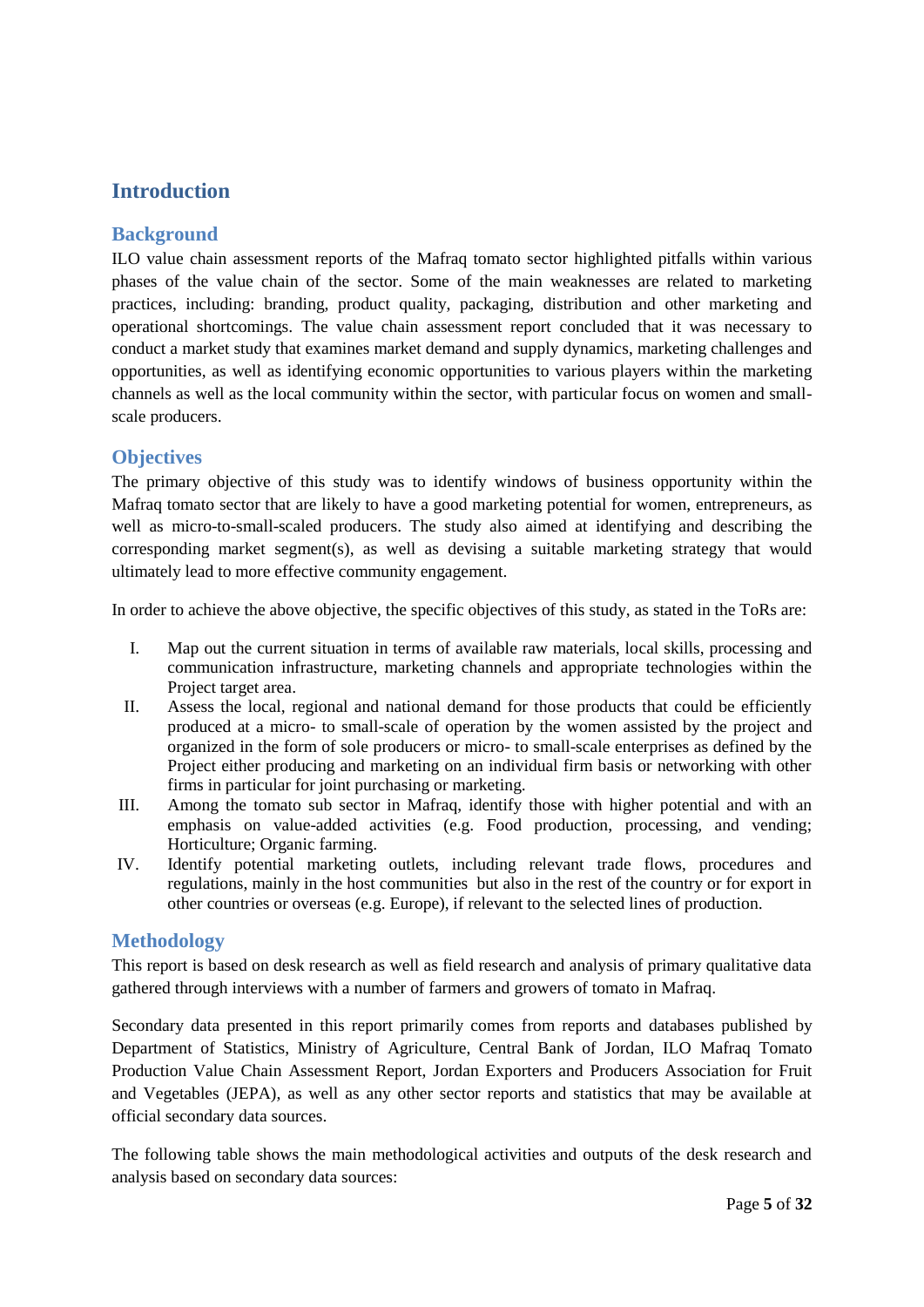# <span id="page-4-0"></span>**Introduction**

#### <span id="page-4-1"></span>**Background**

ILO value chain assessment reports of the Mafraq tomato sector highlighted pitfalls within various phases of the value chain of the sector. Some of the main weaknesses are related to marketing practices, including: branding, product quality, packaging, distribution and other marketing and operational shortcomings. The value chain assessment report concluded that it was necessary to conduct a market study that examines market demand and supply dynamics, marketing challenges and opportunities, as well as identifying economic opportunities to various players within the marketing channels as well as the local community within the sector, with particular focus on women and smallscale producers.

#### <span id="page-4-2"></span>**Objectives**

The primary objective of this study was to identify windows of business opportunity within the Mafraq tomato sector that are likely to have a good marketing potential for women, entrepreneurs, as well as micro-to-small-scaled producers. The study also aimed at identifying and describing the corresponding market segment(s), as well as devising a suitable marketing strategy that would ultimately lead to more effective community engagement.

In order to achieve the above objective, the specific objectives of this study, as stated in the ToRs are:

- I. Map out the current situation in terms of available raw materials, local skills, processing and communication infrastructure, marketing channels and appropriate technologies within the Project target area.
- II. Assess the local, regional and national demand for those products that could be efficiently produced at a micro- to small-scale of operation by the women assisted by the project and organized in the form of sole producers or micro- to small-scale enterprises as defined by the Project either producing and marketing on an individual firm basis or networking with other firms in particular for joint purchasing or marketing.
- III. Among the tomato sub sector in Mafraq, identify those with higher potential and with an emphasis on value-added activities (e.g. Food production, processing, and vending; Horticulture; Organic farming.
- IV. Identify potential marketing outlets, including relevant trade flows, procedures and regulations, mainly in the host communities but also in the rest of the country or for export in other countries or overseas (e.g. Europe), if relevant to the selected lines of production.

#### <span id="page-4-3"></span>**Methodology**

This report is based on desk research as well as field research and analysis of primary qualitative data gathered through interviews with a number of farmers and growers of tomato in Mafraq.

Secondary data presented in this report primarily comes from reports and databases published by Department of Statistics, Ministry of Agriculture, Central Bank of Jordan, ILO Mafraq Tomato Production Value Chain Assessment Report, Jordan Exporters and Producers Association for Fruit and Vegetables (JEPA), as well as any other sector reports and statistics that may be available at official secondary data sources.

The following table shows the main methodological activities and outputs of the desk research and analysis based on secondary data sources: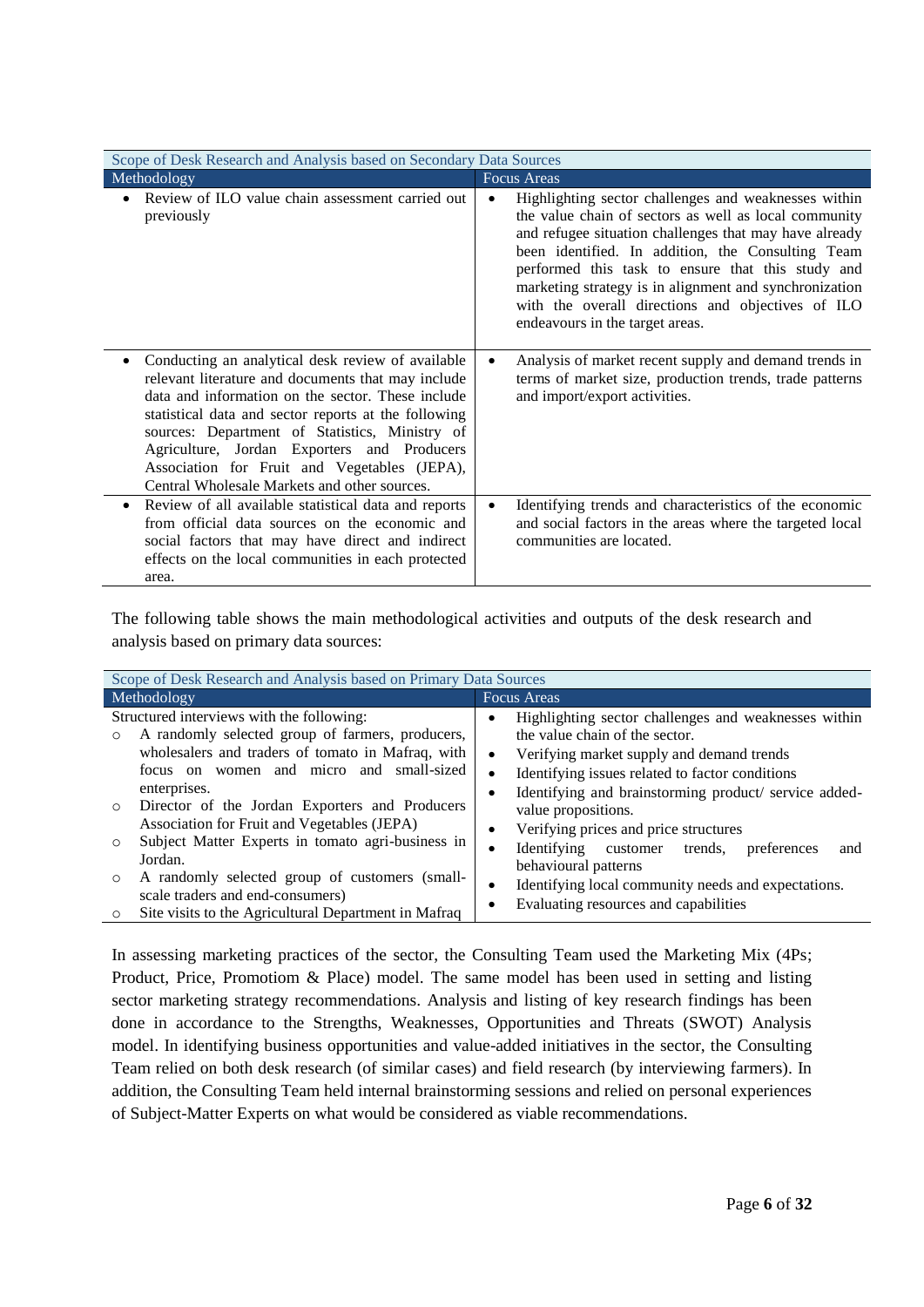| Scope of Desk Research and Analysis based on Secondary Data Sources                                                                                                                                                                                                                                                                                                                                                   |                                                                                                                                                                                                                                                                                                                                                                                                                                     |  |  |  |
|-----------------------------------------------------------------------------------------------------------------------------------------------------------------------------------------------------------------------------------------------------------------------------------------------------------------------------------------------------------------------------------------------------------------------|-------------------------------------------------------------------------------------------------------------------------------------------------------------------------------------------------------------------------------------------------------------------------------------------------------------------------------------------------------------------------------------------------------------------------------------|--|--|--|
| Methodology                                                                                                                                                                                                                                                                                                                                                                                                           | <b>Focus Areas</b>                                                                                                                                                                                                                                                                                                                                                                                                                  |  |  |  |
| Review of ILO value chain assessment carried out<br>previously                                                                                                                                                                                                                                                                                                                                                        | Highlighting sector challenges and weaknesses within<br>the value chain of sectors as well as local community<br>and refugee situation challenges that may have already<br>been identified. In addition, the Consulting Team<br>performed this task to ensure that this study and<br>marketing strategy is in alignment and synchronization<br>with the overall directions and objectives of ILO<br>endeavours in the target areas. |  |  |  |
| Conducting an analytical desk review of available<br>relevant literature and documents that may include<br>data and information on the sector. These include<br>statistical data and sector reports at the following<br>sources: Department of Statistics, Ministry of<br>Agriculture, Jordan Exporters and Producers<br>Association for Fruit and Vegetables (JEPA),<br>Central Wholesale Markets and other sources. | Analysis of market recent supply and demand trends in<br>terms of market size, production trends, trade patterns<br>and import/export activities.                                                                                                                                                                                                                                                                                   |  |  |  |
| Review of all available statistical data and reports<br>from official data sources on the economic and<br>social factors that may have direct and indirect<br>effects on the local communities in each protected<br>area.                                                                                                                                                                                             | Identifying trends and characteristics of the economic<br>and social factors in the areas where the targeted local<br>communities are located.                                                                                                                                                                                                                                                                                      |  |  |  |

The following table shows the main methodological activities and outputs of the desk research and analysis based on primary data sources:

| Scope of Desk Research and Analysis based on Primary Data Sources                                                                                                                                              |                                                                                                                                                                                                          |  |  |  |  |
|----------------------------------------------------------------------------------------------------------------------------------------------------------------------------------------------------------------|----------------------------------------------------------------------------------------------------------------------------------------------------------------------------------------------------------|--|--|--|--|
| Methodology                                                                                                                                                                                                    | Focus Areas                                                                                                                                                                                              |  |  |  |  |
| Structured interviews with the following:<br>A randomly selected group of farmers, producers,<br>wholesalers and traders of tomato in Mafraq, with<br>focus on women and micro and small-sized<br>enterprises. | Highlighting sector challenges and weaknesses within<br>٠<br>the value chain of the sector.<br>Verifying market supply and demand trends<br>$\bullet$<br>Identifying issues related to factor conditions |  |  |  |  |
| Director of the Jordan Exporters and Producers<br>$\circ$<br>Association for Fruit and Vegetables (JEPA)                                                                                                       | Identifying and brainstorming product/ service added-<br>value propositions.<br>Verifying prices and price structures<br>$\bullet$                                                                       |  |  |  |  |
| Subject Matter Experts in tomato agri-business in<br>$\circ$<br>Jordan.                                                                                                                                        | Identifying customer trends,<br>preferences<br>and<br>behavioural patterns                                                                                                                               |  |  |  |  |
| A randomly selected group of customers (small-<br>$\circ$<br>scale traders and end-consumers)<br>Site visits to the Agricultural Department in Mafraq<br>O                                                     | Identifying local community needs and expectations.<br>$\bullet$<br>Evaluating resources and capabilities                                                                                                |  |  |  |  |

In assessing marketing practices of the sector, the Consulting Team used the Marketing Mix (4Ps; Product, Price, Promotiom & Place) model. The same model has been used in setting and listing sector marketing strategy recommendations. Analysis and listing of key research findings has been done in accordance to the Strengths, Weaknesses, Opportunities and Threats (SWOT) Analysis model. In identifying business opportunities and value-added initiatives in the sector, the Consulting Team relied on both desk research (of similar cases) and field research (by interviewing farmers). In addition, the Consulting Team held internal brainstorming sessions and relied on personal experiences of Subject-Matter Experts on what would be considered as viable recommendations.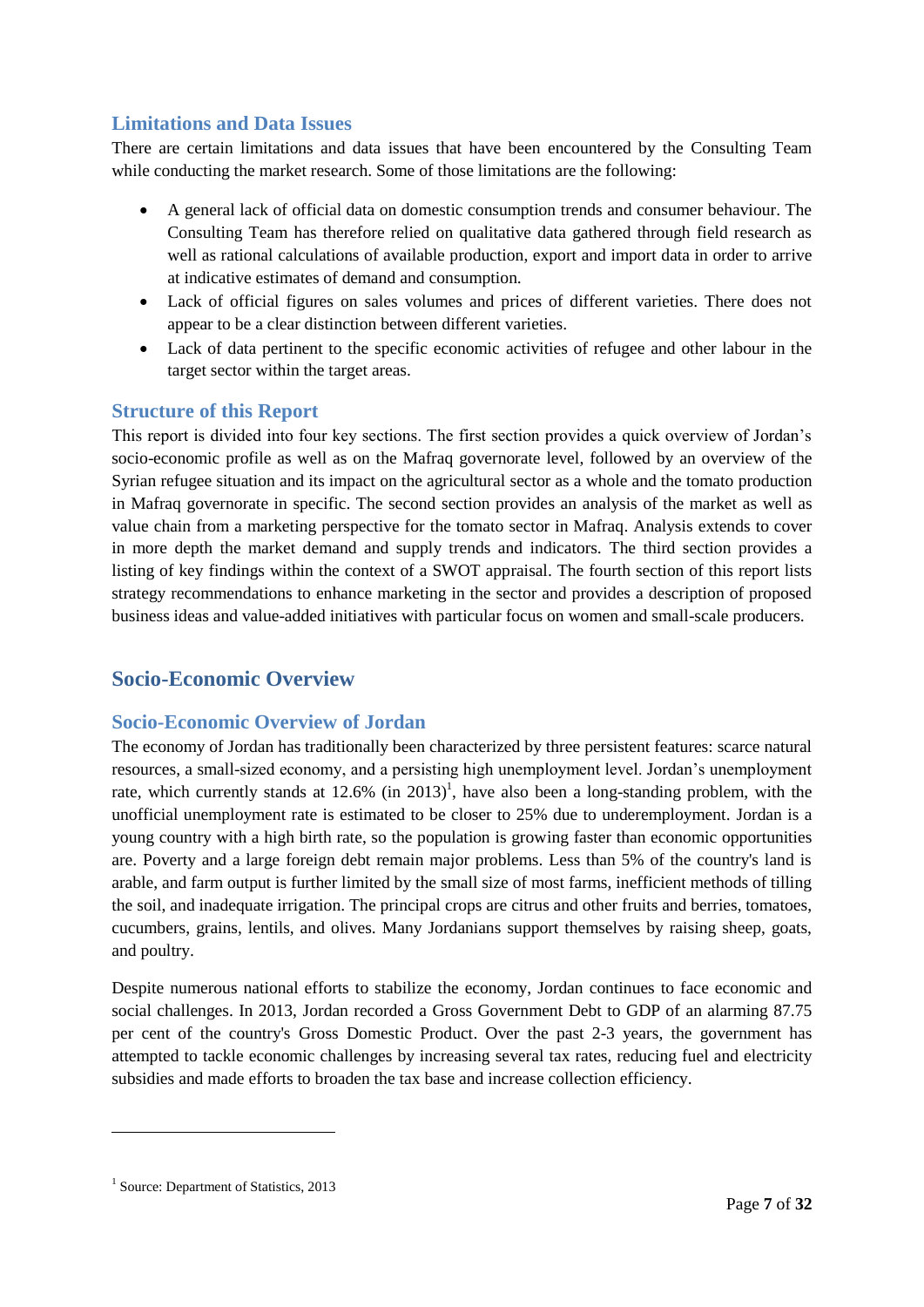## <span id="page-6-0"></span>**Limitations and Data Issues**

There are certain limitations and data issues that have been encountered by the Consulting Team while conducting the market research. Some of those limitations are the following:

- A general lack of official data on domestic consumption trends and consumer behaviour. The Consulting Team has therefore relied on qualitative data gathered through field research as well as rational calculations of available production, export and import data in order to arrive at indicative estimates of demand and consumption.
- Lack of official figures on sales volumes and prices of different varieties. There does not appear to be a clear distinction between different varieties.
- Lack of data pertinent to the specific economic activities of refugee and other labour in the target sector within the target areas.

#### <span id="page-6-1"></span>**Structure of this Report**

This report is divided into four key sections. The first section provides a quick overview of Jordan's socio-economic profile as well as on the Mafraq governorate level, followed by an overview of the Syrian refugee situation and its impact on the agricultural sector as a whole and the tomato production in Mafraq governorate in specific. The second section provides an analysis of the market as well as value chain from a marketing perspective for the tomato sector in Mafraq. Analysis extends to cover in more depth the market demand and supply trends and indicators. The third section provides a listing of key findings within the context of a SWOT appraisal. The fourth section of this report lists strategy recommendations to enhance marketing in the sector and provides a description of proposed business ideas and value-added initiatives with particular focus on women and small-scale producers.

## <span id="page-6-2"></span>**Socio-Economic Overview**

#### <span id="page-6-3"></span>**Socio-Economic Overview of Jordan**

The economy of Jordan has traditionally been characterized by three persistent features: scarce natural resources, a small-sized economy, and a persisting high unemployment level. Jordan's unemployment rate, which currently stands at  $12.6\%$  (in  $2013$ )<sup>1</sup>, have also been a long-standing problem, with the unofficial unemployment rate is estimated to be closer to 25% due to underemployment. Jordan is a young country with a high birth rate, so the population is growing faster than economic opportunities are. Poverty and a large foreign debt remain major problems. Less than 5% of the country's land is arable, and farm output is further limited by the small size of most farms, inefficient methods of tilling the soil, and inadequate irrigation. The principal crops are citrus and other fruits and berries, tomatoes, cucumbers, grains, lentils, and olives. Many Jordanians support themselves by raising sheep, goats, and poultry.

Despite numerous national efforts to stabilize the economy, Jordan continues to face economic and social challenges. In 2013, Jordan recorded a Gross Government Debt to GDP of an alarming 87.75 per cent of the country's Gross Domestic Product. Over the past 2-3 years, the government has attempted to tackle economic challenges by increasing several tax rates, reducing fuel and electricity subsidies and made efforts to broaden the tax base and increase collection efficiency.

<sup>&</sup>lt;sup>1</sup> Source: Department of Statistics, 2013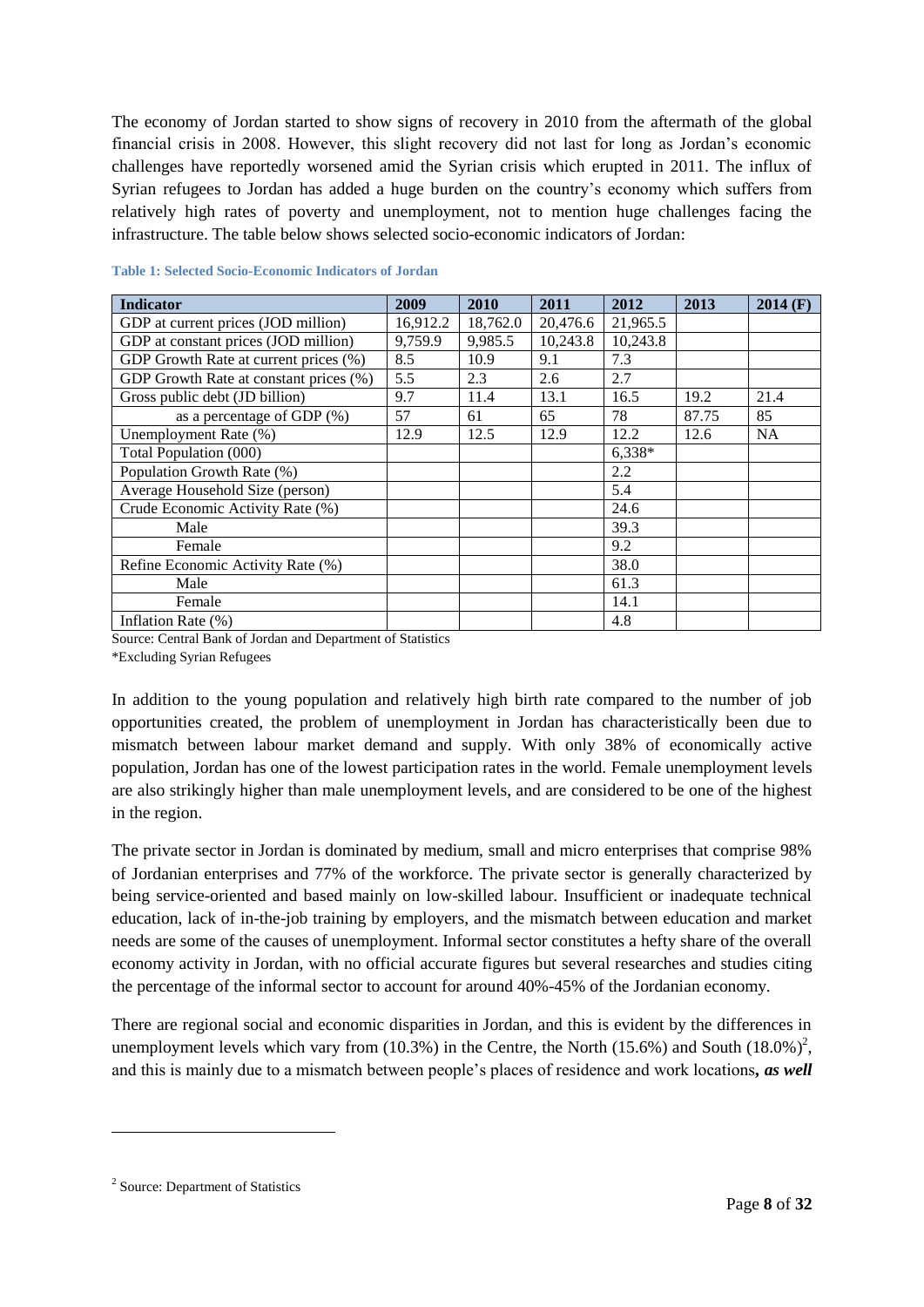The economy of Jordan started to show signs of recovery in 2010 from the aftermath of the global financial crisis in 2008. However, this slight recovery did not last for long as Jordan's economic challenges have reportedly worsened amid the Syrian crisis which erupted in 2011. The influx of Syrian refugees to Jordan has added a huge burden on the country's economy which suffers from relatively high rates of poverty and unemployment, not to mention huge challenges facing the infrastructure. The table below shows selected socio-economic indicators of Jordan:

| <b>Indicator</b>                       | 2009     | 2010     | 2011     | 2012     | 2013  | $2014$ (F) |
|----------------------------------------|----------|----------|----------|----------|-------|------------|
| GDP at current prices (JOD million)    | 16,912.2 | 18,762.0 | 20,476.6 | 21,965.5 |       |            |
| GDP at constant prices (JOD million)   | 9,759.9  | 9,985.5  | 10,243.8 | 10,243.8 |       |            |
| GDP Growth Rate at current prices (%)  | 8.5      | 10.9     | 9.1      | 7.3      |       |            |
| GDP Growth Rate at constant prices (%) | 5.5      | 2.3      | 2.6      | 2.7      |       |            |
| Gross public debt (JD billion)         | 9.7      | 11.4     | 13.1     | 16.5     | 19.2  | 21.4       |
| as a percentage of GDP (%)             | 57       | 61       | 65       | 78       | 87.75 | 85         |
| Unemployment Rate (%)                  | 12.9     | 12.5     | 12.9     | 12.2     | 12.6  | <b>NA</b>  |
| Total Population (000)                 |          |          |          | $6,338*$ |       |            |
| Population Growth Rate (%)             |          |          |          | 2.2      |       |            |
| Average Household Size (person)        |          |          |          | 5.4      |       |            |
| Crude Economic Activity Rate (%)       |          |          |          | 24.6     |       |            |
| Male                                   |          |          |          | 39.3     |       |            |
| Female                                 |          |          |          | 9.2      |       |            |
| Refine Economic Activity Rate (%)      |          |          |          | 38.0     |       |            |
| Male                                   |          |          |          | 61.3     |       |            |
| Female                                 |          |          |          | 14.1     |       |            |
| Inflation Rate (%)                     |          |          |          | 4.8      |       |            |

#### <span id="page-7-0"></span>**Table 1: Selected Socio-Economic Indicators of Jordan**

Source: Central Bank of Jordan and Department of Statistics \*Excluding Syrian Refugees

In addition to the young population and relatively high birth rate compared to the number of job opportunities created, the problem of unemployment in Jordan has characteristically been due to mismatch between labour market demand and supply. With only 38% of economically active population, Jordan has one of the lowest participation rates in the world. Female unemployment levels are also strikingly higher than male unemployment levels, and are considered to be one of the highest in the region.

The private sector in Jordan is dominated by medium, small and micro enterprises that comprise 98% of Jordanian enterprises and 77% of the workforce. The private sector is generally characterized by being service-oriented and based mainly on low-skilled labour. Insufficient or inadequate technical education, lack of in-the-job training by employers, and the mismatch between education and market needs are some of the causes of unemployment. Informal sector constitutes a hefty share of the overall economy activity in Jordan, with no official accurate figures but several researches and studies citing the percentage of the informal sector to account for around 40%-45% of the Jordanian economy.

There are regional social and economic disparities in Jordan, and this is evident by the differences in unemployment levels which vary from  $(10.3%)$  in the Centre, the North  $(15.6%)$  and South  $(18.0%)^2$ , and this is mainly due to a mismatch between people's places of residence and work locations*, as well* 

<sup>&</sup>lt;sup>2</sup> Source: Department of Statistics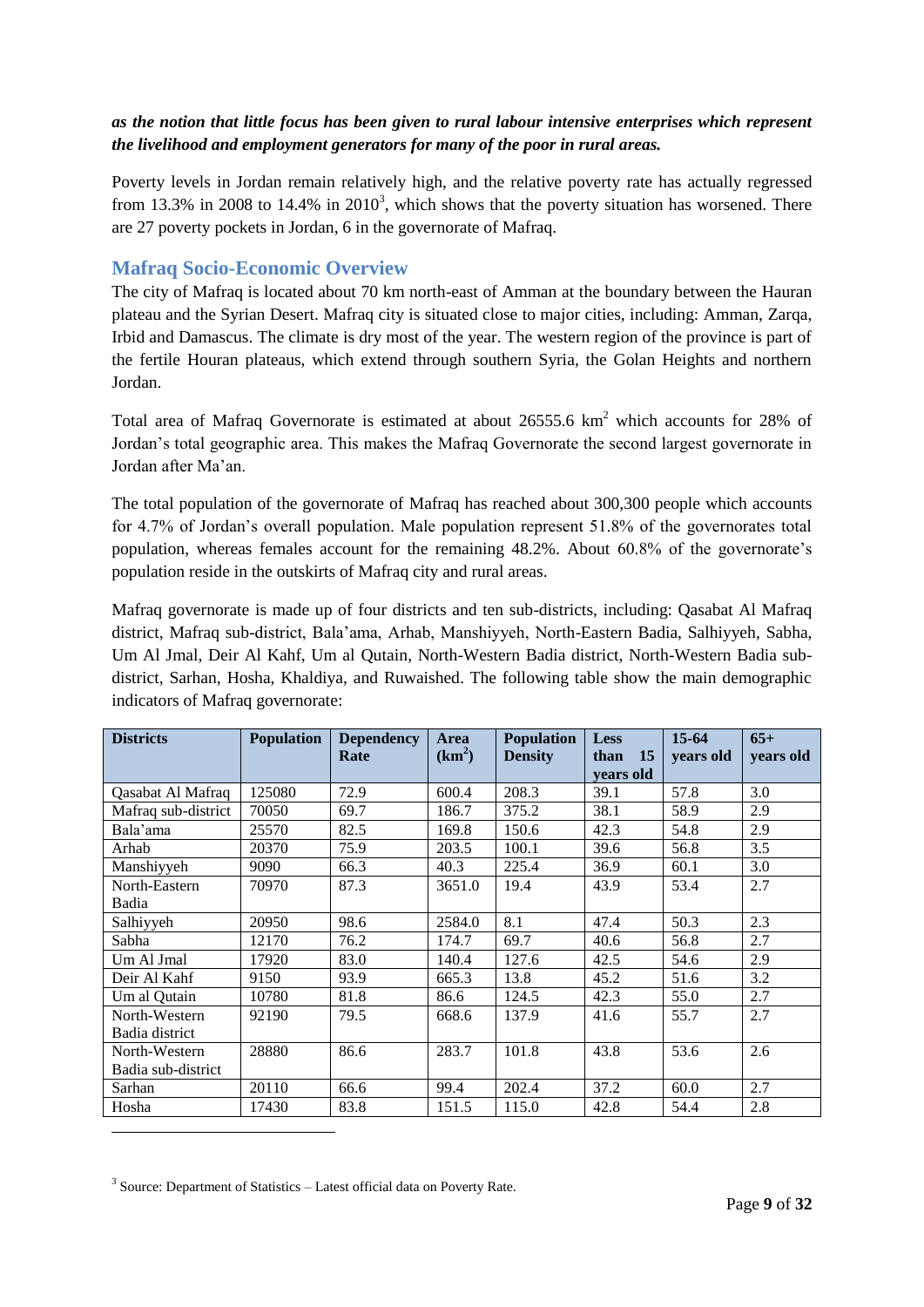#### *as the notion that little focus has been given to rural labour intensive enterprises which represent the livelihood and employment generators for many of the poor in rural areas.*

Poverty levels in Jordan remain relatively high, and the relative poverty rate has actually regressed from 13.3% in 2008 to 14.4% in  $2010<sup>3</sup>$ , which shows that the poverty situation has worsened. There are 27 poverty pockets in Jordan, 6 in the governorate of Mafraq.

#### <span id="page-8-0"></span>**Mafraq Socio-Economic Overview**

The city of Mafraq is located about 70 km north-east of Amman at the boundary between the Hauran plateau and the Syrian Desert. Mafraq city is situated close to major cities, including: Amman, Zarqa, Irbid and Damascus. The climate is dry most of the year. The western region of the province is part of the fertile Houran plateaus, which extend through southern Syria, the Golan Heights and northern Jordan.

Total area of Mafraq Governorate is estimated at about 26555.6 km<sup>2</sup> which accounts for 28% of Jordan's total geographic area. This makes the Mafraq Governorate the second largest governorate in Jordan after Ma'an.

The total population of the governorate of Mafraq has reached about 300,300 people which accounts for 4.7% of Jordan's overall population. Male population represent 51.8% of the governorates total population, whereas females account for the remaining 48.2%. About 60.8% of the governorate's population reside in the outskirts of Mafraq city and rural areas.

Mafraq governorate is made up of four districts and ten sub-districts, including: Qasabat Al Mafraq district, Mafraq sub-district, Bala'ama, Arhab, Manshiyyeh, North-Eastern Badia, Salhiyyeh, Sabha, Um Al Jmal, Deir Al Kahf, Um al Qutain, North-Western Badia district, North-Western Badia subdistrict, Sarhan, Hosha, Khaldiya, and Ruwaished. The following table show the main demographic indicators of Mafraq governorate:

| <b>Districts</b>    | <b>Population</b> | <b>Dependency</b><br>Rate | Area<br>$(km^2)$ | <b>Population</b><br><b>Density</b> | <b>Less</b><br>than<br><b>15</b> | $15-64$<br>vears old | $65+$<br>years old |
|---------------------|-------------------|---------------------------|------------------|-------------------------------------|----------------------------------|----------------------|--------------------|
|                     |                   |                           |                  |                                     | vears old                        |                      |                    |
| Qasabat Al Mafraq   | 125080            | 72.9                      | 600.4            | 208.3                               | 39.1                             | 57.8                 | 3.0                |
| Mafraq sub-district | 70050             | 69.7                      | 186.7            | 375.2                               | 38.1                             | 58.9                 | 2.9                |
| Bala'ama            | 25570             | 82.5                      | 169.8            | 150.6                               | 42.3                             | 54.8                 | 2.9                |
| Arhab               | 20370             | 75.9                      | 203.5            | 100.1                               | 39.6                             | 56.8                 | 3.5                |
| Manshiyyeh          | 9090              | 66.3                      | 40.3             | 225.4                               | 36.9                             | 60.1                 | 3.0                |
| North-Eastern       | 70970             | 87.3                      | 3651.0           | 19.4                                | 43.9                             | 53.4                 | 2.7                |
| Badia               |                   |                           |                  |                                     |                                  |                      |                    |
| Salhiyyeh           | 20950             | 98.6                      | 2584.0           | 8.1                                 | 47.4                             | 50.3                 | 2.3                |
| Sabha               | 12170             | 76.2                      | 174.7            | 69.7                                | 40.6                             | 56.8                 | 2.7                |
| Um Al Jmal          | 17920             | 83.0                      | 140.4            | 127.6                               | 42.5                             | 54.6                 | 2.9                |
| Deir Al Kahf        | 9150              | 93.9                      | 665.3            | 13.8                                | 45.2                             | 51.6                 | 3.2                |
| Um al Qutain        | 10780             | 81.8                      | 86.6             | 124.5                               | 42.3                             | 55.0                 | 2.7                |
| North-Western       | 92190             | 79.5                      | 668.6            | 137.9                               | 41.6                             | 55.7                 | 2.7                |
| Badia district      |                   |                           |                  |                                     |                                  |                      |                    |
| North-Western       | 28880             | 86.6                      | 283.7            | 101.8                               | 43.8                             | 53.6                 | 2.6                |
| Badia sub-district  |                   |                           |                  |                                     |                                  |                      |                    |
| Sarhan              | 20110             | 66.6                      | 99.4             | 202.4                               | 37.2                             | 60.0                 | 2.7                |
| Hosha               | 17430             | 83.8                      | 151.5            | 115.0                               | 42.8                             | 54.4                 | 2.8                |

<sup>3</sup> Source: Department of Statistics - Latest official data on Poverty Rate.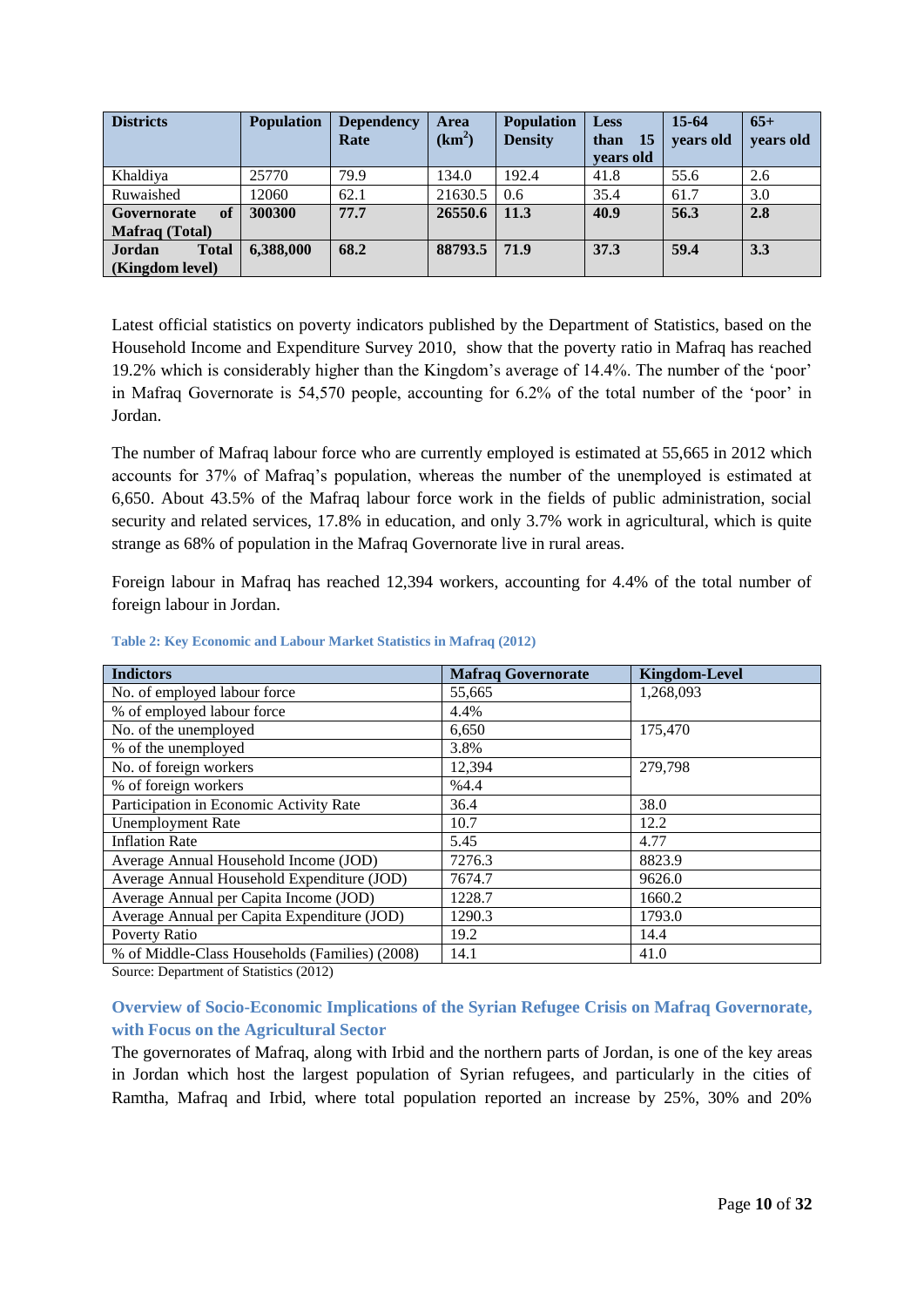| <b>Districts</b>       | <b>Population</b> | <b>Dependency</b> | <b>Area</b> | <b>Population</b> | <b>Less</b>  | $15-64$   | $65+$     |
|------------------------|-------------------|-------------------|-------------|-------------------|--------------|-----------|-----------|
|                        |                   | Rate              | $(km^2)$    | <b>Density</b>    | - 15<br>than | vears old | years old |
|                        |                   |                   |             |                   | vears old    |           |           |
| Khaldiya               | 25770             | 79.9              | 134.0       | 192.4             | 41.8         | 55.6      | 2.6       |
| Ruwaished              | 12060             | 62.1              | 21630.5     | 0.6               | 35.4         | 61.7      | 3.0       |
| of<br>Governorate      | 300300            | 77.7              | 26550.6     | 11.3              | 40.9         | 56.3      | 2.8       |
| <b>Mafraq</b> (Total)  |                   |                   |             |                   |              |           |           |
| Jordan<br><b>Total</b> | 6,388,000         | 68.2              | 88793.5     | 71.9              | 37.3         | 59.4      | 3.3       |
| (Kingdom level)        |                   |                   |             |                   |              |           |           |

Latest official statistics on poverty indicators published by the Department of Statistics, based on the Household Income and Expenditure Survey 2010, show that the poverty ratio in Mafraq has reached 19.2% which is considerably higher than the Kingdom's average of 14.4%. The number of the 'poor' in Mafraq Governorate is 54,570 people, accounting for 6.2% of the total number of the 'poor' in Jordan.

The number of Mafraq labour force who are currently employed is estimated at 55,665 in 2012 which accounts for 37% of Mafraq's population, whereas the number of the unemployed is estimated at 6,650. About 43.5% of the Mafraq labour force work in the fields of public administration, social security and related services, 17.8% in education, and only 3.7% work in agricultural, which is quite strange as 68% of population in the Mafraq Governorate live in rural areas.

Foreign labour in Mafraq has reached 12,394 workers, accounting for 4.4% of the total number of foreign labour in Jordan.

| <b>Indictors</b>                               | <b>Mafraq Governorate</b> | <b>Kingdom-Level</b> |
|------------------------------------------------|---------------------------|----------------------|
| No. of employed labour force                   | 55,665                    | 1,268,093            |
| % of employed labour force                     | 4.4%                      |                      |
| No. of the unemployed                          | 6,650                     | 175,470              |
| % of the unemployed                            | 3.8%                      |                      |
| No. of foreign workers                         | 12,394                    | 279,798              |
| % of foreign workers                           | %4.4                      |                      |
| Participation in Economic Activity Rate        | 36.4                      | 38.0                 |
| <b>Unemployment Rate</b>                       | 10.7                      | 12.2                 |
| <b>Inflation Rate</b>                          | 5.45                      | 4.77                 |
| Average Annual Household Income (JOD)          | 7276.3                    | 8823.9               |
| Average Annual Household Expenditure (JOD)     | 7674.7                    | 9626.0               |
| Average Annual per Capita Income (JOD)         | 1228.7                    | 1660.2               |
| Average Annual per Capita Expenditure (JOD)    | 1290.3                    | 1793.0               |
| Poverty Ratio                                  | 19.2                      | 14.4                 |
| % of Middle-Class Households (Families) (2008) | 14.1                      | 41.0                 |

<span id="page-9-1"></span>**Table 2: Key Economic and Labour Market Statistics in Mafraq (2012)**

Source: Department of Statistics (2012)

#### <span id="page-9-0"></span>**Overview of Socio-Economic Implications of the Syrian Refugee Crisis on Mafraq Governorate, with Focus on the Agricultural Sector**

The governorates of Mafraq, along with Irbid and the northern parts of Jordan, is one of the key areas in Jordan which host the largest population of Syrian refugees, and particularly in the cities of Ramtha, Mafraq and Irbid, where total population reported an increase by 25%, 30% and 20%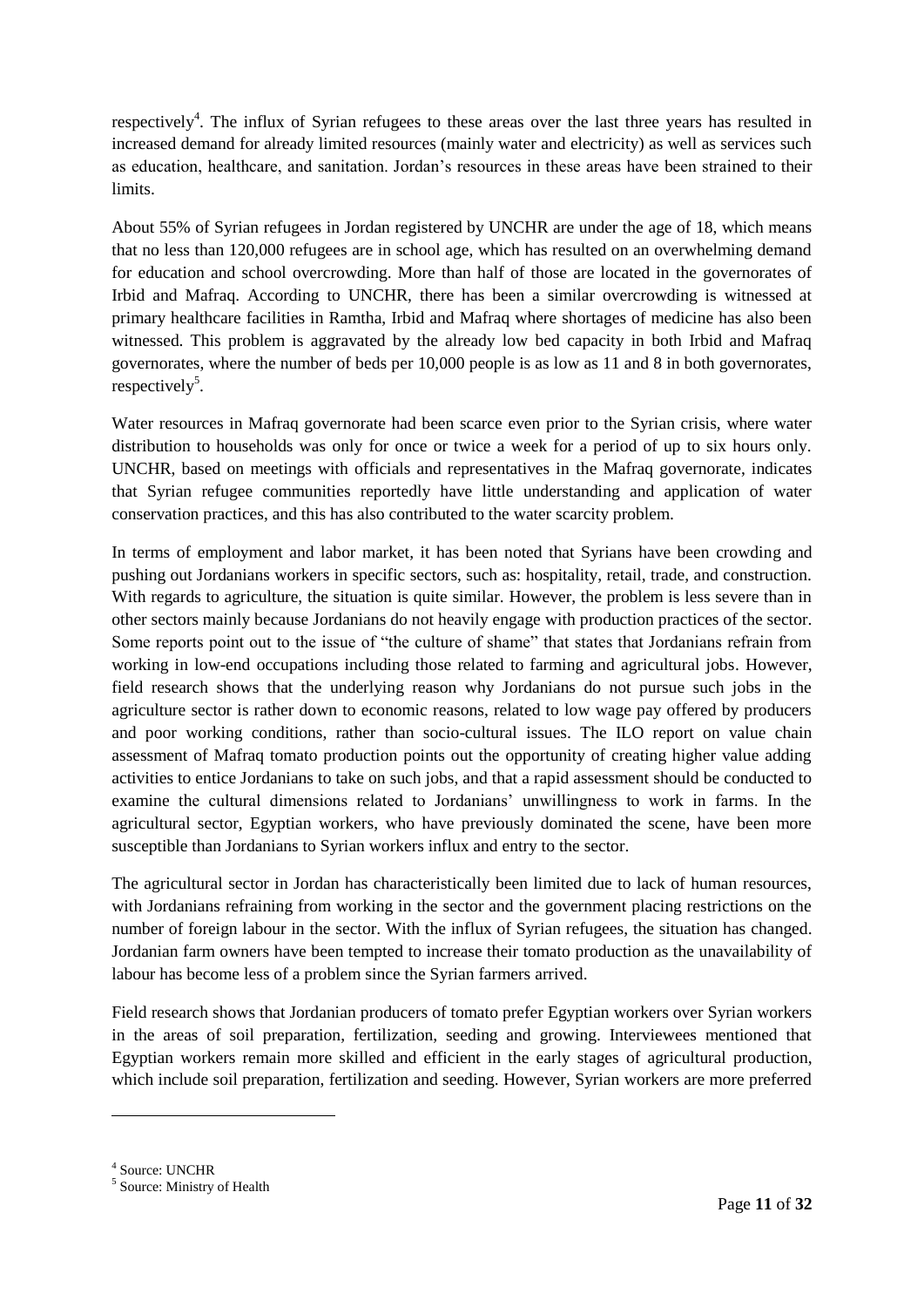respectively<sup>4</sup>. The influx of Syrian refugees to these areas over the last three years has resulted in increased demand for already limited resources (mainly water and electricity) as well as services such as education, healthcare, and sanitation. Jordan's resources in these areas have been strained to their limits.

About 55% of Syrian refugees in Jordan registered by UNCHR are under the age of 18, which means that no less than 120,000 refugees are in school age, which has resulted on an overwhelming demand for education and school overcrowding. More than half of those are located in the governorates of Irbid and Mafraq. According to UNCHR, there has been a similar overcrowding is witnessed at primary healthcare facilities in Ramtha, Irbid and Mafraq where shortages of medicine has also been witnessed. This problem is aggravated by the already low bed capacity in both Irbid and Mafraq governorates, where the number of beds per 10,000 people is as low as 11 and 8 in both governorates, respectively<sup>5</sup>.

Water resources in Mafraq governorate had been scarce even prior to the Syrian crisis, where water distribution to households was only for once or twice a week for a period of up to six hours only. UNCHR, based on meetings with officials and representatives in the Mafraq governorate, indicates that Syrian refugee communities reportedly have little understanding and application of water conservation practices, and this has also contributed to the water scarcity problem.

In terms of employment and labor market, it has been noted that Syrians have been crowding and pushing out Jordanians workers in specific sectors, such as: hospitality, retail, trade, and construction. With regards to agriculture, the situation is quite similar. However, the problem is less severe than in other sectors mainly because Jordanians do not heavily engage with production practices of the sector. Some reports point out to the issue of "the culture of shame" that states that Jordanians refrain from working in low-end occupations including those related to farming and agricultural jobs. However, field research shows that the underlying reason why Jordanians do not pursue such jobs in the agriculture sector is rather down to economic reasons, related to low wage pay offered by producers and poor working conditions, rather than socio-cultural issues. The ILO report on value chain assessment of Mafraq tomato production points out the opportunity of creating higher value adding activities to entice Jordanians to take on such jobs, and that a rapid assessment should be conducted to examine the cultural dimensions related to Jordanians' unwillingness to work in farms. In the agricultural sector, Egyptian workers, who have previously dominated the scene, have been more susceptible than Jordanians to Syrian workers influx and entry to the sector.

The agricultural sector in Jordan has characteristically been limited due to lack of human resources, with Jordanians refraining from working in the sector and the government placing restrictions on the number of foreign labour in the sector. With the influx of Syrian refugees, the situation has changed. Jordanian farm owners have been tempted to increase their tomato production as the unavailability of labour has become less of a problem since the Syrian farmers arrived.

Field research shows that Jordanian producers of tomato prefer Egyptian workers over Syrian workers in the areas of soil preparation, fertilization, seeding and growing. Interviewees mentioned that Egyptian workers remain more skilled and efficient in the early stages of agricultural production, which include soil preparation, fertilization and seeding. However, Syrian workers are more preferred

4 Source: UNCHR

<sup>&</sup>lt;sup>5</sup> Source: Ministry of Health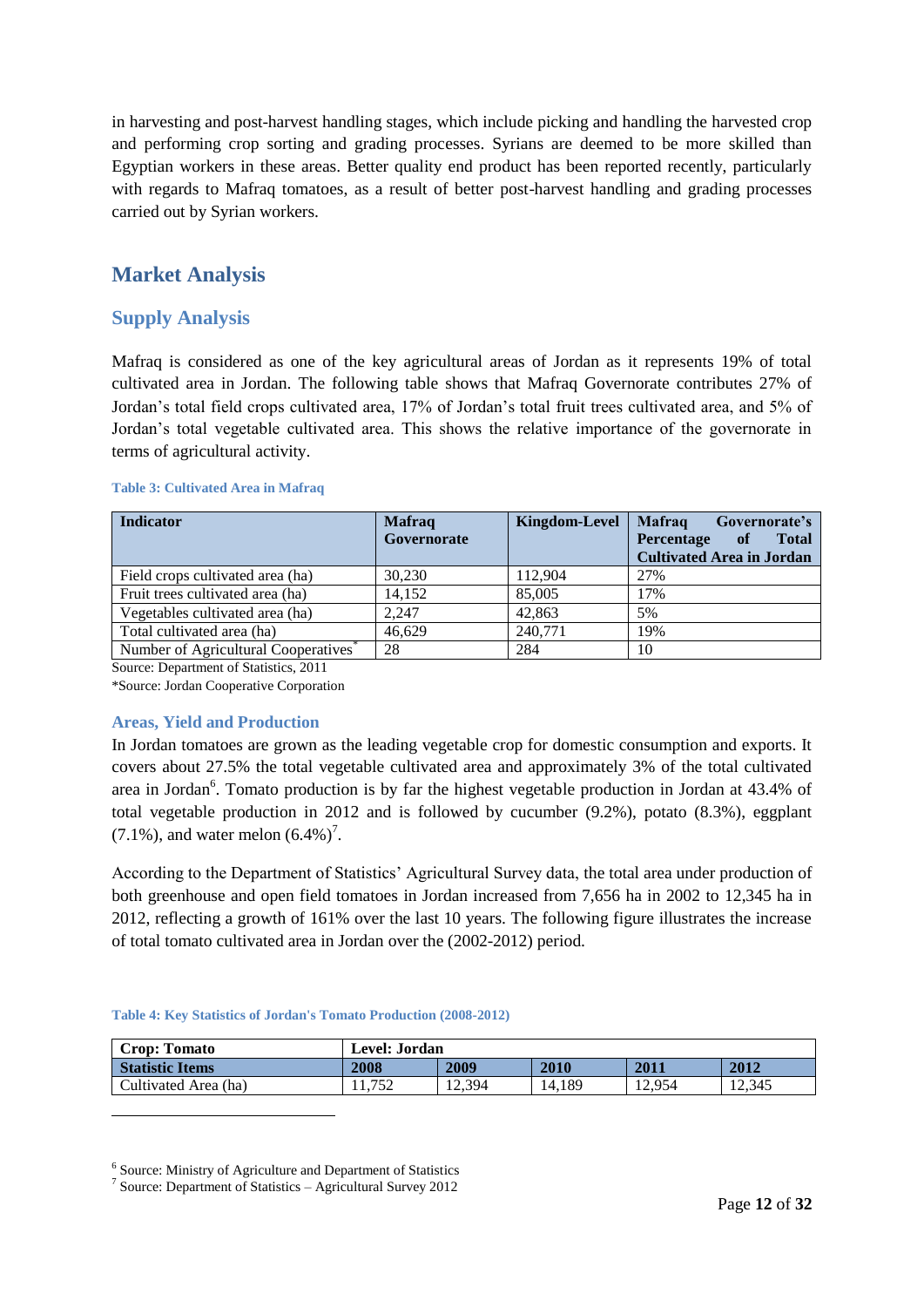in harvesting and post-harvest handling stages, which include picking and handling the harvested crop and performing crop sorting and grading processes. Syrians are deemed to be more skilled than Egyptian workers in these areas. Better quality end product has been reported recently, particularly with regards to Mafraq tomatoes, as a result of better post-harvest handling and grading processes carried out by Syrian workers.

# <span id="page-11-0"></span>**Market Analysis**

#### <span id="page-11-1"></span>**Supply Analysis**

Mafraq is considered as one of the key agricultural areas of Jordan as it represents 19% of total cultivated area in Jordan. The following table shows that Mafraq Governorate contributes 27% of Jordan's total field crops cultivated area, 17% of Jordan's total fruit trees cultivated area, and 5% of Jordan's total vegetable cultivated area. This shows the relative importance of the governorate in terms of agricultural activity.

#### <span id="page-11-3"></span>**Table 3: Cultivated Area in Mafraq**

| <b>Indicator</b>                                 | <b>Mafraq</b><br>Governorate | <b>Kingdom-Level</b> | <b>Mafraq</b><br>Governorate's<br>Percentage<br>of<br><b>Total</b><br><b>Cultivated Area in Jordan</b> |
|--------------------------------------------------|------------------------------|----------------------|--------------------------------------------------------------------------------------------------------|
| Field crops cultivated area (ha)                 | 30,230                       | 112.904              | 27%                                                                                                    |
| Fruit trees cultivated area (ha)                 | 14.152                       | 85,005               | 17%                                                                                                    |
| Vegetables cultivated area (ha)                  | 2.247                        | 42,863               | 5%                                                                                                     |
| Total cultivated area (ha)                       | 46.629                       | 240.771              | 19%                                                                                                    |
| Number of Agricultural Cooperatives <sup>®</sup> | 28                           | 284                  | 10                                                                                                     |

Source: Department of Statistics, 2011

\*Source: Jordan Cooperative Corporation

#### <span id="page-11-2"></span>**Areas, Yield and Production**

-

In Jordan tomatoes are grown as the leading vegetable crop for domestic consumption and exports. It covers about 27.5% the total vegetable cultivated area and approximately 3% of the total cultivated area in Jordan<sup>6</sup>. Tomato production is by far the highest vegetable production in Jordan at 43.4% of total vegetable production in 2012 and is followed by cucumber (9.2%), potato (8.3%), eggplant  $(7.1\%)$ , and water melon  $(6.4\%)^7$ .

According to the Department of Statistics' Agricultural Survey data, the total area under production of both greenhouse and open field tomatoes in Jordan increased from 7,656 ha in 2002 to 12,345 ha in 2012, reflecting a growth of 161% over the last 10 years. The following figure illustrates the increase of total tomato cultivated area in Jordan over the (2002-2012) period.

#### <span id="page-11-4"></span>**Table 4: Key Statistics of Jordan's Tomato Production (2008-2012)**

| <b>Crop: Tomato</b>    | <b>Level: Jordan</b> |        |        |        |        |  |
|------------------------|----------------------|--------|--------|--------|--------|--|
| <b>Statistic Items</b> | 2008                 | 2009   | 2010   | 2011   | 2012   |  |
| Cultivated Area (ha)   | 11.752               | 12.394 | 14.189 | 12.954 | 12.345 |  |

<sup>6</sup> Source: Ministry of Agriculture and Department of Statistics

<sup>&</sup>lt;sup>7</sup> Source: Department of Statistics - Agricultural Survey 2012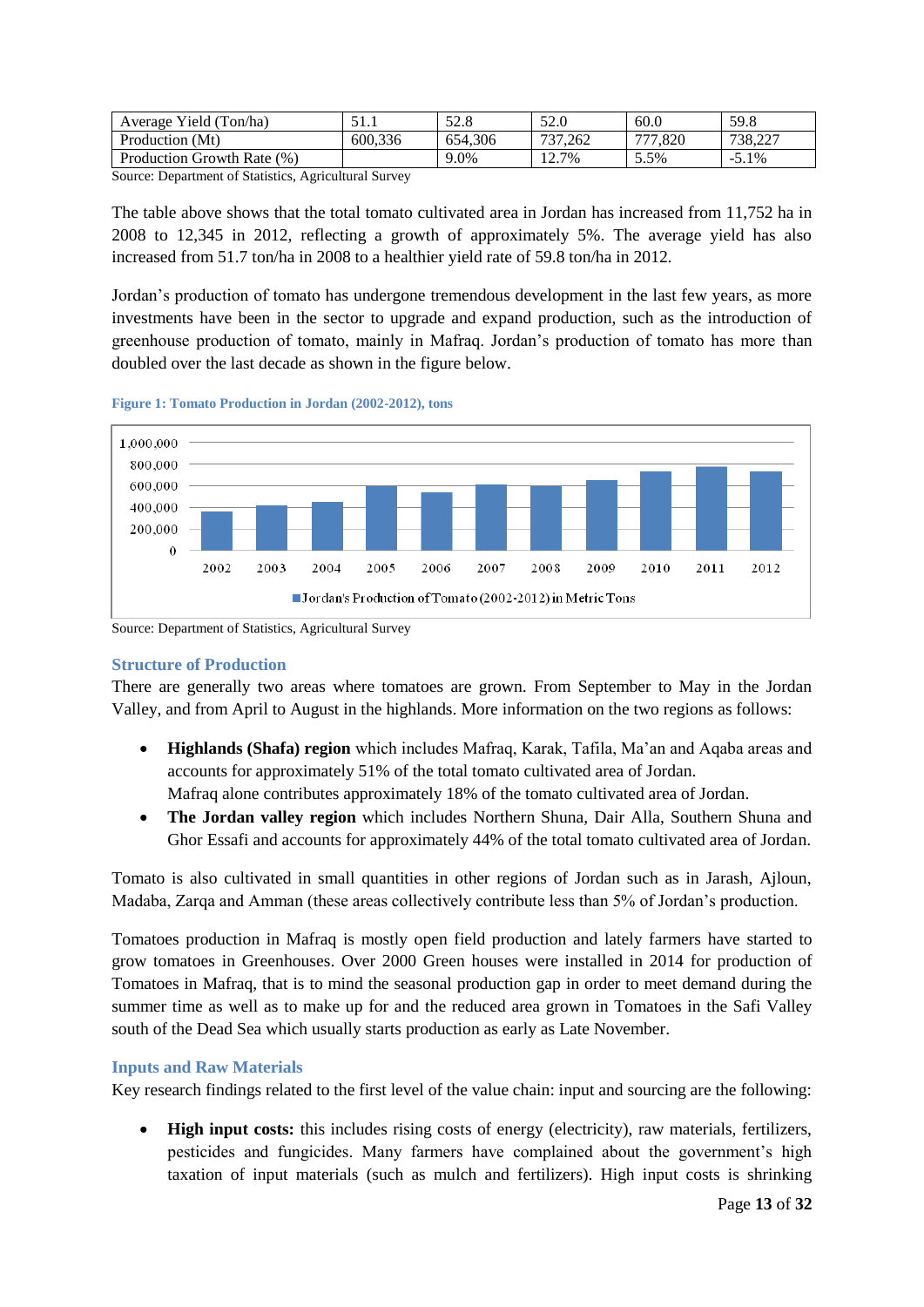| Average Yield (Ton/ha)     | .       | 52.8    | 52.0    | 60.0                             | 59.8     |
|----------------------------|---------|---------|---------|----------------------------------|----------|
| Production (Mt)            | 600.336 | 654.306 | 737,262 | $\overline{\phantom{a}}$<br>.820 | 738,227  |
| Production Growth Rate (%) |         | 9.0%    | 12.7%   | 5.5%                             | $-5.1\%$ |

Source: Department of Statistics, Agricultural Survey

The table above shows that the total tomato cultivated area in Jordan has increased from 11,752 ha in 2008 to 12,345 in 2012, reflecting a growth of approximately 5%. The average yield has also increased from 51.7 ton/ha in 2008 to a healthier yield rate of 59.8 ton/ha in 2012.

Jordan's production of tomato has undergone tremendous development in the last few years, as more investments have been in the sector to upgrade and expand production, such as the introduction of greenhouse production of tomato, mainly in Mafraq. Jordan's production of tomato has more than doubled over the last decade as shown in the figure below.





Source: Department of Statistics, Agricultural Survey

#### <span id="page-12-0"></span>**Structure of Production**

There are generally two areas where tomatoes are grown. From September to May in the Jordan Valley, and from April to August in the highlands. More information on the two regions as follows:

- **Highlands (Shafa) region** which includes Mafraq, Karak, Tafila, Ma'an and Aqaba areas and accounts for approximately 51% of the total tomato cultivated area of Jordan. Mafraq alone contributes approximately 18% of the tomato cultivated area of Jordan.
- **The Jordan valley region** which includes Northern Shuna, Dair Alla, Southern Shuna and Ghor Essafi and accounts for approximately 44% of the total tomato cultivated area of Jordan.

Tomato is also cultivated in small quantities in other regions of Jordan such as in Jarash, Ajloun, Madaba, Zarqa and Amman (these areas collectively contribute less than 5% of Jordan's production.

Tomatoes production in Mafraq is mostly open field production and lately farmers have started to grow tomatoes in Greenhouses. Over 2000 Green houses were installed in 2014 for production of Tomatoes in Mafraq, that is to mind the seasonal production gap in order to meet demand during the summer time as well as to make up for and the reduced area grown in Tomatoes in the Safi Valley south of the Dead Sea which usually starts production as early as Late November.

#### <span id="page-12-1"></span>**Inputs and Raw Materials**

Key research findings related to the first level of the value chain: input and sourcing are the following:

 **High input costs:** this includes rising costs of energy (electricity), raw materials, fertilizers, pesticides and fungicides. Many farmers have complained about the government's high taxation of input materials (such as mulch and fertilizers). High input costs is shrinking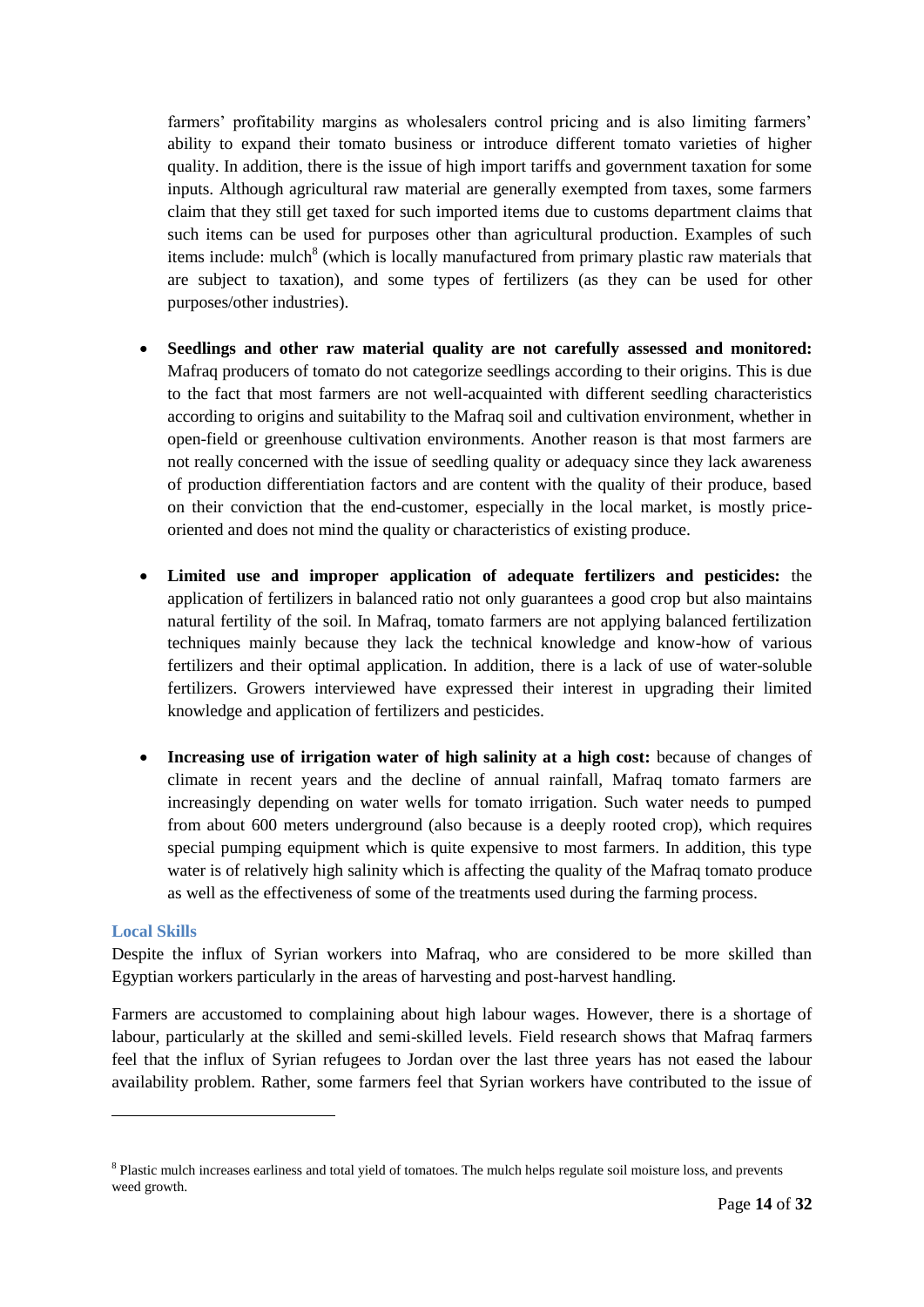farmers' profitability margins as wholesalers control pricing and is also limiting farmers' ability to expand their tomato business or introduce different tomato varieties of higher quality. In addition, there is the issue of high import tariffs and government taxation for some inputs. Although agricultural raw material are generally exempted from taxes, some farmers claim that they still get taxed for such imported items due to customs department claims that such items can be used for purposes other than agricultural production. Examples of such items include: mulch<sup>8</sup> (which is locally manufactured from primary plastic raw materials that are subject to taxation), and some types of fertilizers (as they can be used for other purposes/other industries).

- **Seedlings and other raw material quality are not carefully assessed and monitored:**  Mafraq producers of tomato do not categorize seedlings according to their origins. This is due to the fact that most farmers are not well-acquainted with different seedling characteristics according to origins and suitability to the Mafraq soil and cultivation environment, whether in open-field or greenhouse cultivation environments. Another reason is that most farmers are not really concerned with the issue of seedling quality or adequacy since they lack awareness of production differentiation factors and are content with the quality of their produce, based on their conviction that the end-customer, especially in the local market, is mostly priceoriented and does not mind the quality or characteristics of existing produce.
- **Limited use and improper application of adequate fertilizers and pesticides:** the application of fertilizers in balanced ratio not only guarantees a good crop but also maintains natural fertility of the soil. In Mafraq, tomato farmers are not applying balanced fertilization techniques mainly because they lack the technical knowledge and know-how of various fertilizers and their optimal application. In addition, there is a lack of use of water-soluble fertilizers. Growers interviewed have expressed their interest in upgrading their limited knowledge and application of fertilizers and pesticides.
- **Increasing use of irrigation water of high salinity at a high cost:** because of changes of climate in recent years and the decline of annual rainfall, Mafraq tomato farmers are increasingly depending on water wells for tomato irrigation. Such water needs to pumped from about 600 meters underground (also because is a deeply rooted crop), which requires special pumping equipment which is quite expensive to most farmers. In addition, this type water is of relatively high salinity which is affecting the quality of the Mafraq tomato produce as well as the effectiveness of some of the treatments used during the farming process.

#### <span id="page-13-0"></span>**Local Skills**

-

Despite the influx of Syrian workers into Mafraq, who are considered to be more skilled than Egyptian workers particularly in the areas of harvesting and post-harvest handling.

Farmers are accustomed to complaining about high labour wages. However, there is a shortage of labour, particularly at the skilled and semi-skilled levels. Field research shows that Mafraq farmers feel that the influx of Syrian refugees to Jordan over the last three years has not eased the labour availability problem. Rather, some farmers feel that Syrian workers have contributed to the issue of

<sup>&</sup>lt;sup>8</sup> Plastic mulch increases earliness and total yield of tomatoes. The mulch helps regulate soil moisture loss, and prevents weed growth.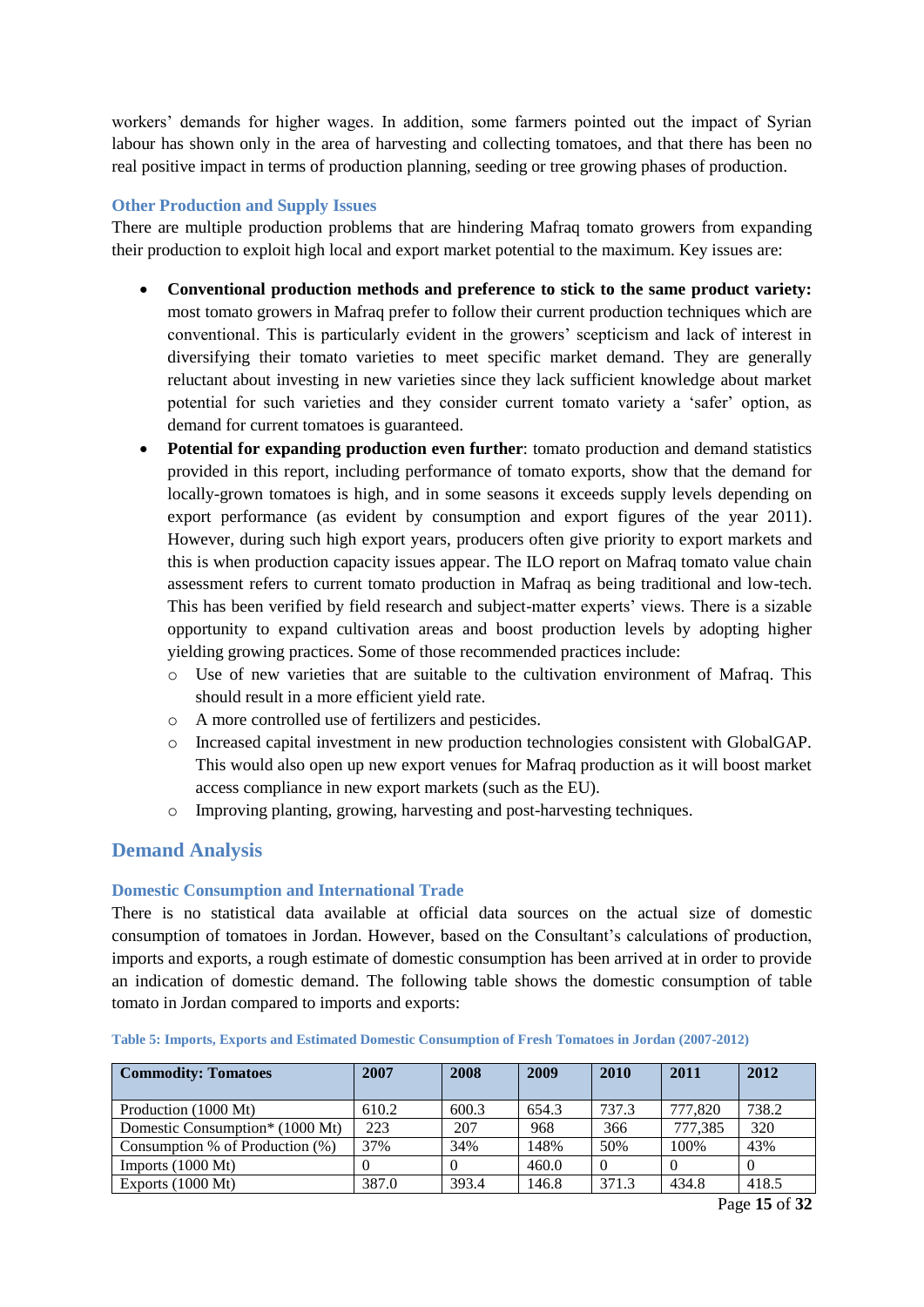workers' demands for higher wages. In addition, some farmers pointed out the impact of Syrian labour has shown only in the area of harvesting and collecting tomatoes, and that there has been no real positive impact in terms of production planning, seeding or tree growing phases of production.

#### <span id="page-14-0"></span>**Other Production and Supply Issues**

There are multiple production problems that are hindering Mafraq tomato growers from expanding their production to exploit high local and export market potential to the maximum. Key issues are:

- **Conventional production methods and preference to stick to the same product variety:** most tomato growers in Mafraq prefer to follow their current production techniques which are conventional. This is particularly evident in the growers' scepticism and lack of interest in diversifying their tomato varieties to meet specific market demand. They are generally reluctant about investing in new varieties since they lack sufficient knowledge about market potential for such varieties and they consider current tomato variety a 'safer' option, as demand for current tomatoes is guaranteed.
- **Potential for expanding production even further**: tomato production and demand statistics provided in this report, including performance of tomato exports, show that the demand for locally-grown tomatoes is high, and in some seasons it exceeds supply levels depending on export performance (as evident by consumption and export figures of the year 2011). However, during such high export years, producers often give priority to export markets and this is when production capacity issues appear. The ILO report on Mafraq tomato value chain assessment refers to current tomato production in Mafraq as being traditional and low-tech. This has been verified by field research and subject-matter experts' views. There is a sizable opportunity to expand cultivation areas and boost production levels by adopting higher yielding growing practices. Some of those recommended practices include:
	- o Use of new varieties that are suitable to the cultivation environment of Mafraq. This should result in a more efficient yield rate.
	- o A more controlled use of fertilizers and pesticides.
	- o Increased capital investment in new production technologies consistent with GlobalGAP. This would also open up new export venues for Mafraq production as it will boost market access compliance in new export markets (such as the EU).
	- o Improving planting, growing, harvesting and post-harvesting techniques.

#### <span id="page-14-1"></span>**Demand Analysis**

#### <span id="page-14-2"></span>**Domestic Consumption and International Trade**

There is no statistical data available at official data sources on the actual size of domestic consumption of tomatoes in Jordan. However, based on the Consultant's calculations of production, imports and exports, a rough estimate of domestic consumption has been arrived at in order to provide an indication of domestic demand. The following table shows the domestic consumption of table tomato in Jordan compared to imports and exports:

| <b>Commodity: Tomatoes</b>           | 2007  | 2008  | 2009  | 2010  | 2011    | 2012  |
|--------------------------------------|-------|-------|-------|-------|---------|-------|
| Production (1000 Mt)                 | 610.2 | 600.3 | 654.3 | 737.3 | 777,820 | 738.2 |
| Domestic Consumption* (1000 Mt)      | 223   | 207   | 968   | 366   | 777.385 | 320   |
| Consumption $%$ of Production $(% )$ | 37%   | 34%   | 148%  | 50%   | 100\%   | 43%   |
| Imports $(1000 \text{ Mt})$          |       |       | 460.0 |       |         |       |
| Exports $(1000 \text{ Mt})$          | 387.0 | 393.4 | 146.8 | 371.3 | 434.8   | 418.5 |

<span id="page-14-3"></span>**Table 5: Imports, Exports and Estimated Domestic Consumption of Fresh Tomatoes in Jordan (2007-2012)**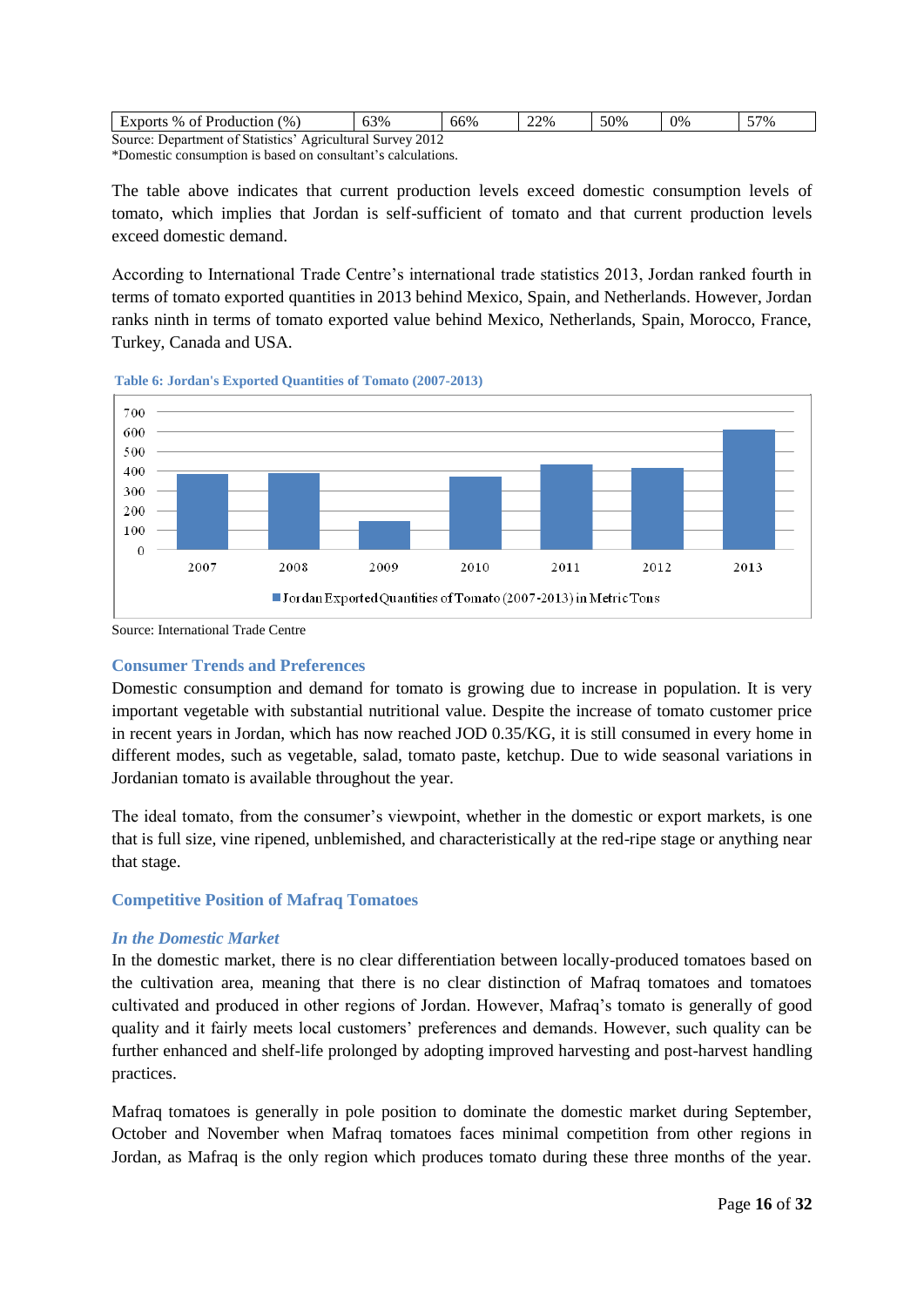| Exports % of Production $(\%)$                                | 63% | 66% | 22% | 50% | 0% | 57% |
|---------------------------------------------------------------|-----|-----|-----|-----|----|-----|
| Source: Department of Statistics'<br>Agricultural Survey 2012 |     |     |     |     |    |     |

\*Domestic consumption is based on consultant's calculations.

The table above indicates that current production levels exceed domestic consumption levels of tomato, which implies that Jordan is self-sufficient of tomato and that current production levels exceed domestic demand.

According to International Trade Centre's international trade statistics 2013, Jordan ranked fourth in terms of tomato exported quantities in 2013 behind Mexico, Spain, and Netherlands. However, Jordan ranks ninth in terms of tomato exported value behind Mexico, Netherlands, Spain, Morocco, France, Turkey, Canada and USA.





Source: International Trade Centre

#### <span id="page-15-0"></span>**Consumer Trends and Preferences**

Domestic consumption and demand for tomato is growing due to increase in population. It is very important vegetable with substantial nutritional value. Despite the increase of tomato customer price in recent years in Jordan, which has now reached JOD 0.35/KG, it is still consumed in every home in different modes, such as vegetable, salad, tomato paste, ketchup. Due to wide seasonal variations in Jordanian tomato is available throughout the year.

The ideal tomato, from the consumer's viewpoint, whether in the domestic or export markets, is one that is full size, vine ripened, unblemished, and characteristically at the red-ripe stage or anything near that stage.

#### <span id="page-15-1"></span>**Competitive Position of Mafraq Tomatoes**

#### *In the Domestic Market*

In the domestic market, there is no clear differentiation between locally-produced tomatoes based on the cultivation area, meaning that there is no clear distinction of Mafraq tomatoes and tomatoes cultivated and produced in other regions of Jordan. However, Mafraq's tomato is generally of good quality and it fairly meets local customers' preferences and demands. However, such quality can be further enhanced and shelf-life prolonged by adopting improved harvesting and post-harvest handling practices.

Mafraq tomatoes is generally in pole position to dominate the domestic market during September, October and November when Mafraq tomatoes faces minimal competition from other regions in Jordan, as Mafraq is the only region which produces tomato during these three months of the year.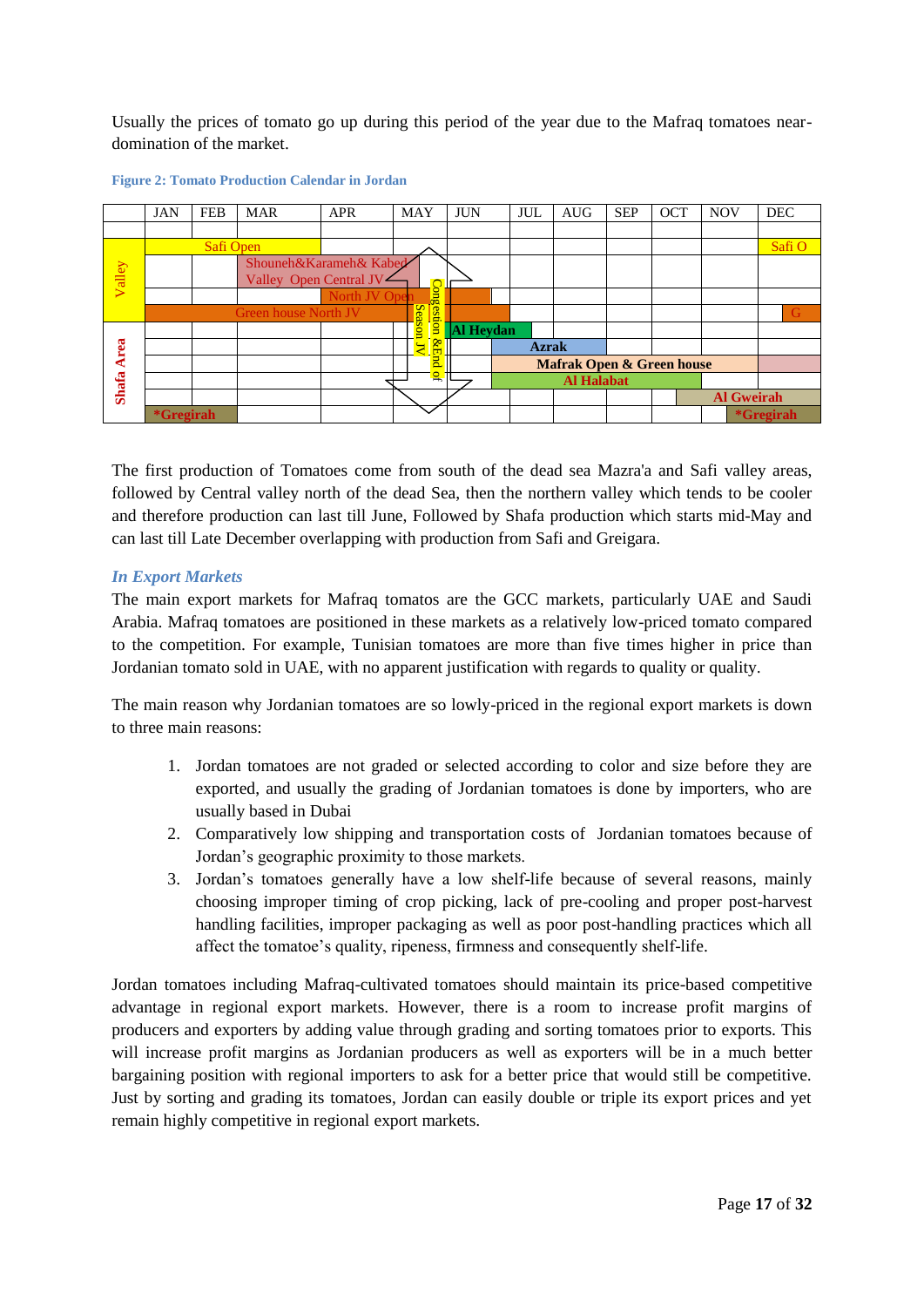Usually the prices of tomato go up during this period of the year due to the Mafraq tomatoes neardomination of the market.



#### <span id="page-16-0"></span>**Figure 2: Tomato Production Calendar in Jordan**

The first production of Tomatoes come from south of the dead sea Mazra'a and Safi valley areas, followed by Central valley north of the dead Sea, then the northern valley which tends to be cooler and therefore production can last till June, Followed by Shafa production which starts mid-May and can last till Late December overlapping with production from Safi and Greigara.

#### *In Export Markets*

The main export markets for Mafraq tomatos are the GCC markets, particularly UAE and Saudi Arabia. Mafraq tomatoes are positioned in these markets as a relatively low-priced tomato compared to the competition. For example, Tunisian tomatoes are more than five times higher in price than Jordanian tomato sold in UAE, with no apparent justification with regards to quality or quality.

The main reason why Jordanian tomatoes are so lowly-priced in the regional export markets is down to three main reasons:

- 1. Jordan tomatoes are not graded or selected according to color and size before they are exported, and usually the grading of Jordanian tomatoes is done by importers, who are usually based in Dubai
- 2. Comparatively low shipping and transportation costs of Jordanian tomatoes because of Jordan's geographic proximity to those markets.
- 3. Jordan's tomatoes generally have a low shelf-life because of several reasons, mainly choosing improper timing of crop picking, lack of pre-cooling and proper post-harvest handling facilities, improper packaging as well as poor post-handling practices which all affect the tomatoe's quality, ripeness, firmness and consequently shelf-life.

Jordan tomatoes including Mafraq-cultivated tomatoes should maintain its price-based competitive advantage in regional export markets. However, there is a room to increase profit margins of producers and exporters by adding value through grading and sorting tomatoes prior to exports. This will increase profit margins as Jordanian producers as well as exporters will be in a much better bargaining position with regional importers to ask for a better price that would still be competitive. Just by sorting and grading its tomatoes, Jordan can easily double or triple its export prices and yet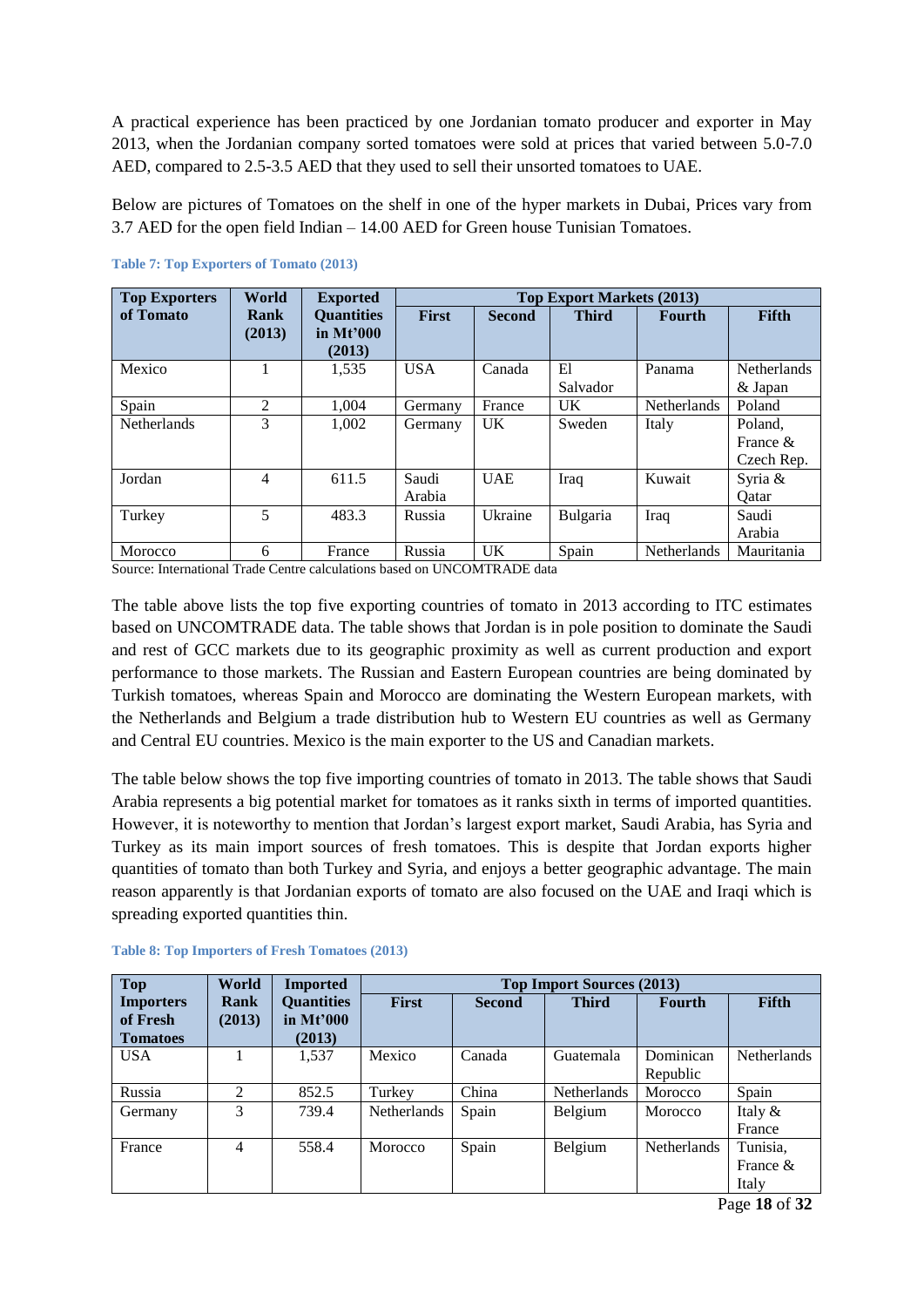A practical experience has been practiced by one Jordanian tomato producer and exporter in May 2013, when the Jordanian company sorted tomatoes were sold at prices that varied between 5.0-7.0 AED, compared to 2.5-3.5 AED that they used to sell their unsorted tomatoes to UAE.

Below are pictures of Tomatoes on the shelf in one of the hyper markets in Dubai, Prices vary from 3.7 AED for the open field Indian – 14.00 AED for Green house Tunisian Tomatoes.

| <b>Top Exporters</b>                                                                                                                                                                                             | World          | <b>Exported</b>                            | <b>Top Export Markets (2013)</b> |                |                |               |                                      |
|------------------------------------------------------------------------------------------------------------------------------------------------------------------------------------------------------------------|----------------|--------------------------------------------|----------------------------------|----------------|----------------|---------------|--------------------------------------|
| of Tomato                                                                                                                                                                                                        | Rank<br>(2013) | <b>Ouantities</b><br>in $Mt'000$<br>(2013) | First                            | <b>Second</b>  | <b>Third</b>   | <b>Fourth</b> | Fifth                                |
| Mexico                                                                                                                                                                                                           |                | 1,535                                      | <b>USA</b>                       | Canada         | El<br>Salvador | Panama        | Netherlands<br>& Japan               |
| Spain                                                                                                                                                                                                            | 2              | 1.004                                      | Germany                          | France         | U <sub>K</sub> | Netherlands   | Poland                               |
| Netherlands                                                                                                                                                                                                      | 3              | 1,002                                      | Germany                          | $_{\rm{UK}}$   | Sweden         | Italy         | Poland,<br>France $\&$<br>Czech Rep. |
| Jordan                                                                                                                                                                                                           | 4              | 611.5                                      | Saudi<br>Arabia                  | <b>UAE</b>     | Iraq           | Kuwait        | Syria &<br>Oatar                     |
| Turkey                                                                                                                                                                                                           | 5              | 483.3                                      | Russia                           | Ukraine        | Bulgaria       | Iraq          | Saudi<br>Arabia                      |
| Morocco<br>$\mathcal{C}_{\text{current}}$ , Let $\mathcal{C}_{\text{test}}$ and $\mathcal{C}_{\text{test}}$ and $\mathcal{C}_{\text{test}}$ is a set of $\mathcal{C}(\mathcal{C})$ of $\mathcal{C}(\mathcal{C})$ | 6              | France                                     | Russia                           | U <sub>K</sub> | Spain          | Netherlands   | Mauritania                           |

<span id="page-17-0"></span>**Table 7: Top Exporters of Tomato (2013)**

Source: International Trade Centre calculations based on UNCOMTRADE data

The table above lists the top five exporting countries of tomato in 2013 according to ITC estimates based on UNCOMTRADE data. The table shows that Jordan is in pole position to dominate the Saudi and rest of GCC markets due to its geographic proximity as well as current production and export performance to those markets. The Russian and Eastern European countries are being dominated by Turkish tomatoes, whereas Spain and Morocco are dominating the Western European markets, with the Netherlands and Belgium a trade distribution hub to Western EU countries as well as Germany and Central EU countries. Mexico is the main exporter to the US and Canadian markets.

The table below shows the top five importing countries of tomato in 2013. The table shows that Saudi Arabia represents a big potential market for tomatoes as it ranks sixth in terms of imported quantities. However, it is noteworthy to mention that Jordan's largest export market, Saudi Arabia, has Syria and Turkey as its main import sources of fresh tomatoes. This is despite that Jordan exports higher quantities of tomato than both Turkey and Syria, and enjoys a better geographic advantage. The main reason apparently is that Jordanian exports of tomato are also focused on the UAE and Iraqi which is spreading exported quantities thin.

| <b>Top</b>                                      | World                       | <b>Imported</b>                            | <b>Top Import Sources (2013)</b> |               |              |                       |                               |
|-------------------------------------------------|-----------------------------|--------------------------------------------|----------------------------------|---------------|--------------|-----------------------|-------------------------------|
| <b>Importers</b><br>of Fresh<br><b>Tomatoes</b> | Rank<br>(2013)              | <b>Quantities</b><br>in $Mt'000$<br>(2013) | <b>First</b>                     | <b>Second</b> | <b>Third</b> | <b>Fourth</b>         | Fifth                         |
| <b>USA</b>                                      |                             | 1,537                                      | Mexico                           | Canada        | Guatemala    | Dominican<br>Republic | <b>Netherlands</b>            |
| Russia                                          | $\mathcal{D}_{\mathcal{L}}$ | 852.5                                      | Turkey                           | China         | Netherlands  | Morocco               | Spain                         |
| Germany                                         | 3                           | 739.4                                      | <b>Netherlands</b>               | Spain         | Belgium      | Morocco               | Italy $&$<br>France           |
| France                                          | 4                           | 558.4                                      | Morocco                          | Spain         | Belgium      | <b>Netherlands</b>    | Tunisia,<br>France &<br>Italy |

<span id="page-17-1"></span>**Table 8: Top Importers of Fresh Tomatoes (2013)**

Page **18** of **32**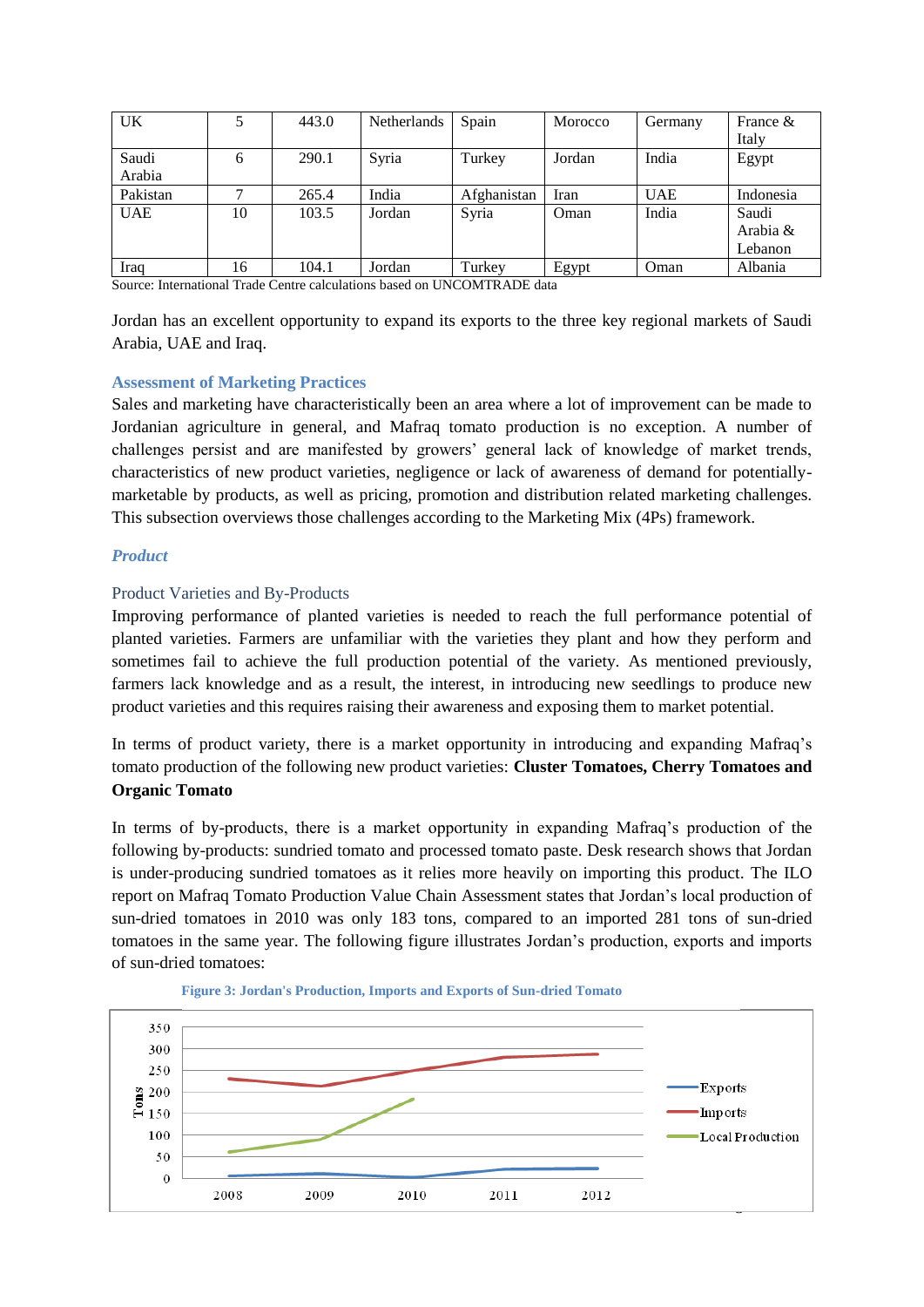| UK         | ς  | 443.0 | Netherlands | Spain       | Morocco | Germany    | France $\&$ |
|------------|----|-------|-------------|-------------|---------|------------|-------------|
|            |    |       |             |             |         |            | Italy       |
| Saudi      | 6  | 290.1 | Syria       | Turkey      | Jordan  | India      | Egypt       |
| Arabia     |    |       |             |             |         |            |             |
| Pakistan   |    | 265.4 | India       | Afghanistan | Iran    | <b>UAE</b> | Indonesia   |
| <b>UAE</b> | 10 | 103.5 | Jordan      | Syria       | Oman    | India      | Saudi       |
|            |    |       |             |             |         |            | Arabia &    |
|            |    |       |             |             |         |            | Lebanon     |
| Iraq       | 16 | 104.1 | Jordan      | Turkey      | Egypt   | Oman       | Albania     |

Source: International Trade Centre calculations based on UNCOMTRADE data

Jordan has an excellent opportunity to expand its exports to the three key regional markets of Saudi Arabia, UAE and Iraq.

#### <span id="page-18-0"></span>**Assessment of Marketing Practices**

Sales and marketing have characteristically been an area where a lot of improvement can be made to Jordanian agriculture in general, and Mafraq tomato production is no exception. A number of challenges persist and are manifested by growers' general lack of knowledge of market trends, characteristics of new product varieties, negligence or lack of awareness of demand for potentiallymarketable by products, as well as pricing, promotion and distribution related marketing challenges. This subsection overviews those challenges according to the Marketing Mix (4Ps) framework.

#### *Product*

#### Product Varieties and By-Products

Improving performance of planted varieties is needed to reach the full performance potential of planted varieties. Farmers are unfamiliar with the varieties they plant and how they perform and sometimes fail to achieve the full production potential of the variety. As mentioned previously, farmers lack knowledge and as a result, the interest, in introducing new seedlings to produce new product varieties and this requires raising their awareness and exposing them to market potential.

In terms of product variety, there is a market opportunity in introducing and expanding Mafraq's tomato production of the following new product varieties: **Cluster Tomatoes, Cherry Tomatoes and Organic Tomato**

In terms of by-products, there is a market opportunity in expanding Mafraq's production of the following by-products: sundried tomato and processed tomato paste. Desk research shows that Jordan is under-producing sundried tomatoes as it relies more heavily on importing this product. The ILO report on Mafraq Tomato Production Value Chain Assessment states that Jordan's local production of sun-dried tomatoes in 2010 was only 183 tons, compared to an imported 281 tons of sun-dried tomatoes in the same year. The following figure illustrates Jordan's production, exports and imports of sun-dried tomatoes:



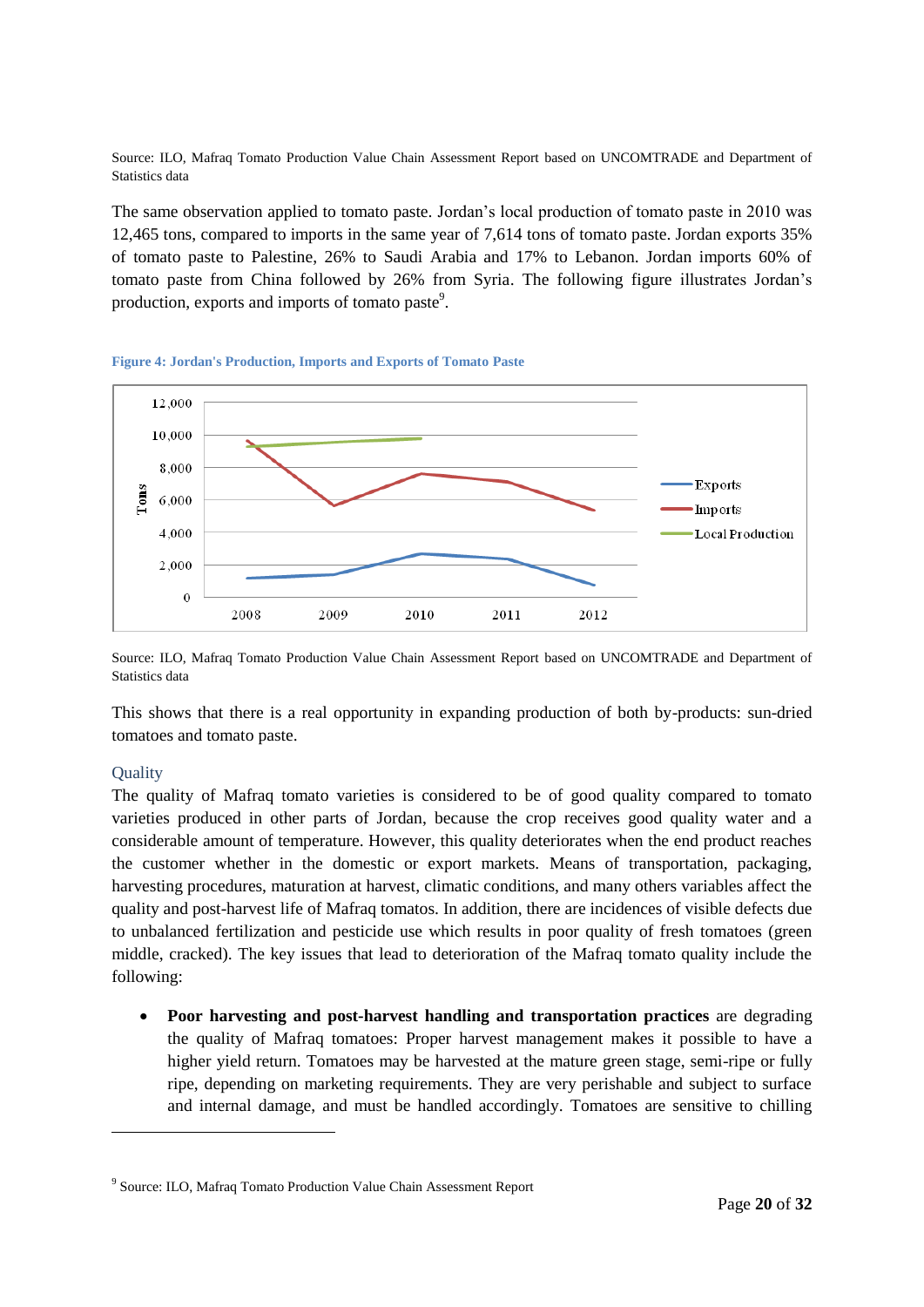Source: ILO, Mafraq Tomato Production Value Chain Assessment Report based on UNCOMTRADE and Department of Statistics data

The same observation applied to tomato paste. Jordan's local production of tomato paste in 2010 was 12,465 tons, compared to imports in the same year of 7,614 tons of tomato paste. Jordan exports 35% of tomato paste to Palestine, 26% to Saudi Arabia and 17% to Lebanon. Jordan imports 60% of tomato paste from China followed by 26% from Syria. The following figure illustrates Jordan's production, exports and imports of tomato paste<sup>9</sup>.

<span id="page-19-0"></span>



Source: ILO, Mafraq Tomato Production Value Chain Assessment Report based on UNCOMTRADE and Department of Statistics data

This shows that there is a real opportunity in expanding production of both by-products: sun-dried tomatoes and tomato paste.

#### **Quality**

-

The quality of Mafraq tomato varieties is considered to be of good quality compared to tomato varieties produced in other parts of Jordan, because the crop receives good quality water and a considerable amount of temperature. However, this quality deteriorates when the end product reaches the customer whether in the domestic or export markets. Means of transportation, packaging, harvesting procedures, maturation at harvest, climatic conditions, and many others variables affect the quality and post-harvest life of Mafraq tomatos. In addition, there are incidences of visible defects due to unbalanced fertilization and pesticide use which results in poor quality of fresh tomatoes (green middle, cracked). The key issues that lead to deterioration of the Mafraq tomato quality include the following:

 **Poor harvesting and post-harvest handling and transportation practices** are degrading the quality of Mafraq tomatoes: Proper harvest management makes it possible to have a higher yield return. Tomatoes may be harvested at the mature green stage, semi-ripe or fully ripe, depending on marketing requirements. They are very perishable and subject to surface and internal damage, and must be handled accordingly. Tomatoes are sensitive to chilling

<sup>&</sup>lt;sup>9</sup> Source: ILO, Mafraq Tomato Production Value Chain Assessment Report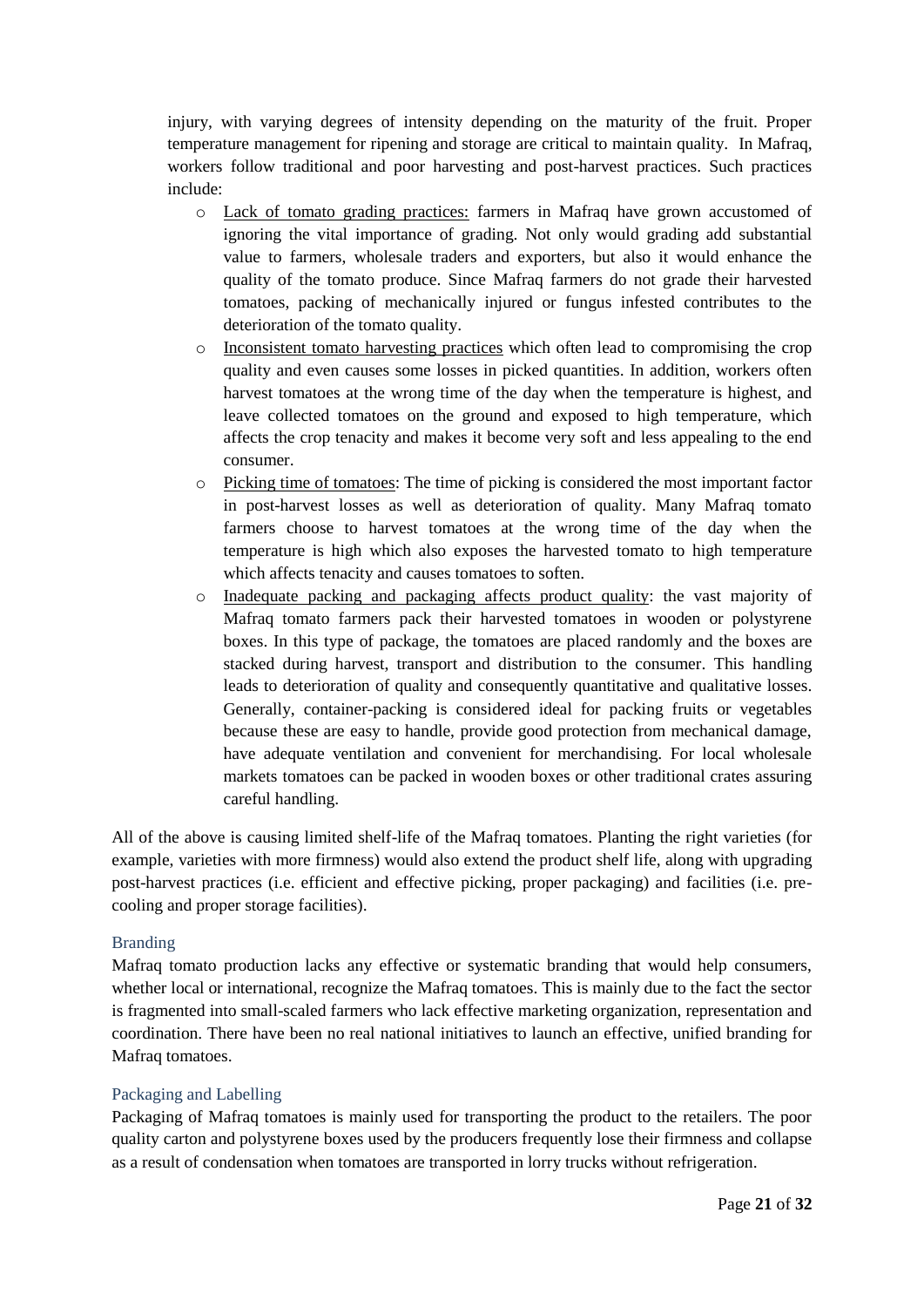injury, with varying degrees of intensity depending on the maturity of the fruit. Proper temperature management for ripening and storage are critical to maintain quality. In Mafraq, workers follow traditional and poor harvesting and post-harvest practices. Such practices include:

- o Lack of tomato grading practices: farmers in Mafraq have grown accustomed of ignoring the vital importance of grading. Not only would grading add substantial value to farmers, wholesale traders and exporters, but also it would enhance the quality of the tomato produce. Since Mafraq farmers do not grade their harvested tomatoes, packing of mechanically injured or fungus infested contributes to the deterioration of the tomato quality.
- o Inconsistent tomato harvesting practices which often lead to compromising the crop quality and even causes some losses in picked quantities. In addition, workers often harvest tomatoes at the wrong time of the day when the temperature is highest, and leave collected tomatoes on the ground and exposed to high temperature, which affects the crop tenacity and makes it become very soft and less appealing to the end consumer.
- o Picking time of tomatoes: The time of picking is considered the most important factor in post-harvest losses as well as deterioration of quality. Many Mafraq tomato farmers choose to harvest tomatoes at the wrong time of the day when the temperature is high which also exposes the harvested tomato to high temperature which affects tenacity and causes tomatoes to soften.
- o Inadequate packing and packaging affects product quality: the vast majority of Mafraq tomato farmers pack their harvested tomatoes in wooden or polystyrene boxes. In this type of package, the tomatoes are placed randomly and the boxes are stacked during harvest, transport and distribution to the consumer. This handling leads to deterioration of quality and consequently quantitative and qualitative losses. Generally, container-packing is considered ideal for packing fruits or vegetables because these are easy to handle, provide good protection from mechanical damage, have adequate ventilation and convenient for merchandising. For local wholesale markets tomatoes can be packed in wooden boxes or other traditional crates assuring careful handling.

All of the above is causing limited shelf-life of the Mafraq tomatoes. Planting the right varieties (for example, varieties with more firmness) would also extend the product shelf life, along with upgrading post-harvest practices (i.e. efficient and effective picking, proper packaging) and facilities (i.e. precooling and proper storage facilities).

#### Branding

Mafraq tomato production lacks any effective or systematic branding that would help consumers, whether local or international, recognize the Mafraq tomatoes. This is mainly due to the fact the sector is fragmented into small-scaled farmers who lack effective marketing organization, representation and coordination. There have been no real national initiatives to launch an effective, unified branding for Mafraq tomatoes.

#### Packaging and Labelling

Packaging of Mafraq tomatoes is mainly used for transporting the product to the retailers. The poor quality carton and polystyrene boxes used by the producers frequently lose their firmness and collapse as a result of condensation when tomatoes are transported in lorry trucks without refrigeration.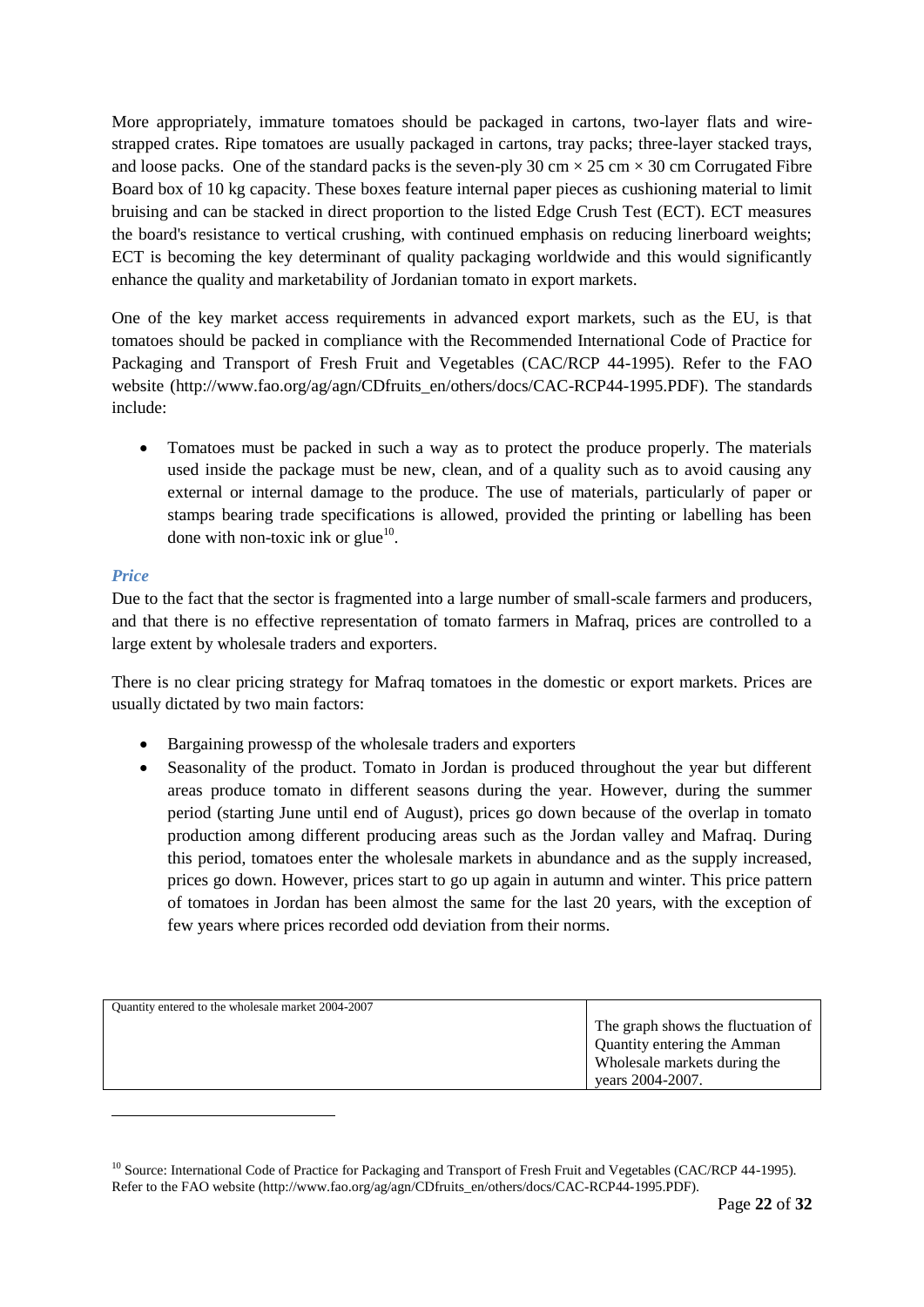More appropriately, immature tomatoes should be packaged in cartons, two-layer flats and wirestrapped crates. Ripe tomatoes are usually packaged in cartons, tray packs; three-layer stacked trays, and loose packs. One of the standard packs is the seven-ply 30 cm  $\times$  25 cm  $\times$  30 cm Corrugated Fibre Board box of 10 kg capacity. These boxes feature internal paper pieces as cushioning material to limit bruising and can be stacked in direct proportion to the listed Edge Crush Test (ECT). ECT measures the board's resistance to vertical crushing, with continued emphasis on reducing linerboard weights; ECT is becoming the key determinant of quality packaging worldwide and this would significantly enhance the quality and marketability of Jordanian tomato in export markets.

One of the key market access requirements in advanced export markets, such as the EU, is that tomatoes should be packed in compliance with the Recommended International Code of Practice for Packaging and Transport of Fresh Fruit and Vegetables (CAC/RCP 44-1995). Refer to the FAO website (http://www.fao.org/ag/agn/CDfruits\_en/others/docs/CAC-RCP44-1995.PDF). The standards include:

• Tomatoes must be packed in such a way as to protect the produce properly. The materials used inside the package must be new, clean, and of a quality such as to avoid causing any external or internal damage to the produce. The use of materials, particularly of paper or stamps bearing trade specifications is allowed, provided the printing or labelling has been done with non-toxic ink or glue $^{10}$ .

#### *Price*

-

Due to the fact that the sector is fragmented into a large number of small-scale farmers and producers, and that there is no effective representation of tomato farmers in Mafraq, prices are controlled to a large extent by wholesale traders and exporters.

There is no clear pricing strategy for Mafraq tomatoes in the domestic or export markets. Prices are usually dictated by two main factors:

- Bargaining prowessp of the wholesale traders and exporters
- Seasonality of the product. Tomato in Jordan is produced throughout the year but different areas produce tomato in different seasons during the year. However, during the summer period (starting June until end of August), prices go down because of the overlap in tomato production among different producing areas such as the Jordan valley and Mafraq. During this period, tomatoes enter the wholesale markets in abundance and as the supply increased, prices go down. However, prices start to go up again in autumn and winter. This price pattern of tomatoes in Jordan has been almost the same for the last 20 years, with the exception of few years where prices recorded odd deviation from their norms.

| Quantity entered to the wholesale market 2004-2007 |                                    |
|----------------------------------------------------|------------------------------------|
|                                                    | The graph shows the fluctuation of |
|                                                    | Quantity entering the Amman        |
|                                                    | Wholesale markets during the       |
|                                                    | years 2004-2007.                   |

<sup>&</sup>lt;sup>10</sup> Source: International Code of Practice for Packaging and Transport of Fresh Fruit and Vegetables (CAC/RCP 44-1995). Refer to the FAO website (http://www.fao.org/ag/agn/CDfruits\_en/others/docs/CAC-RCP44-1995.PDF).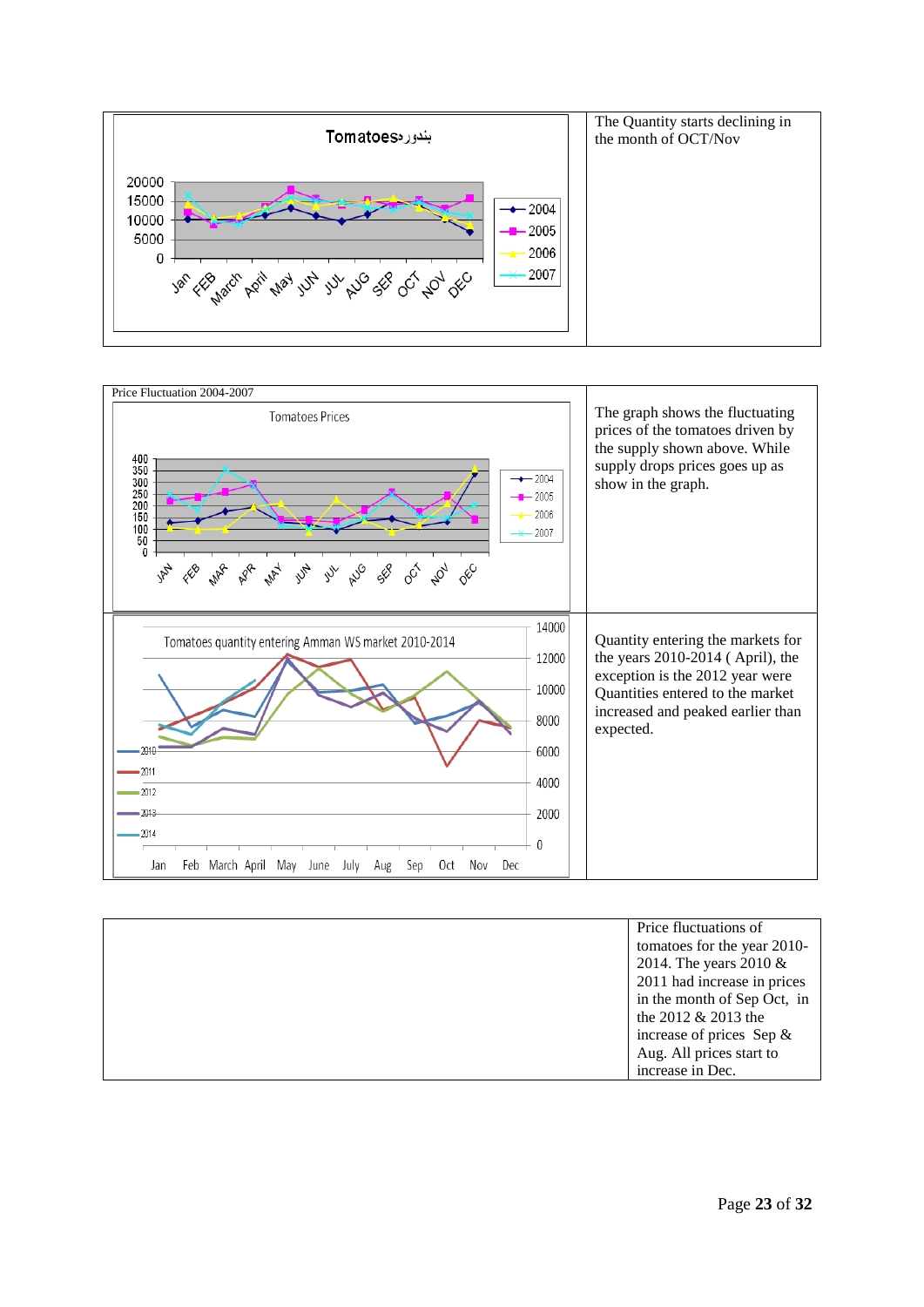



| Price fluctuations of       |
|-----------------------------|
| tomatoes for the year 2010- |
| 2014. The years $2010 \&$   |
| 2011 had increase in prices |
| in the month of Sep Oct, in |
| the 2012 $& 2013$ the       |
| increase of prices Sep $\&$ |
| Aug. All prices start to    |
| increase in Dec.            |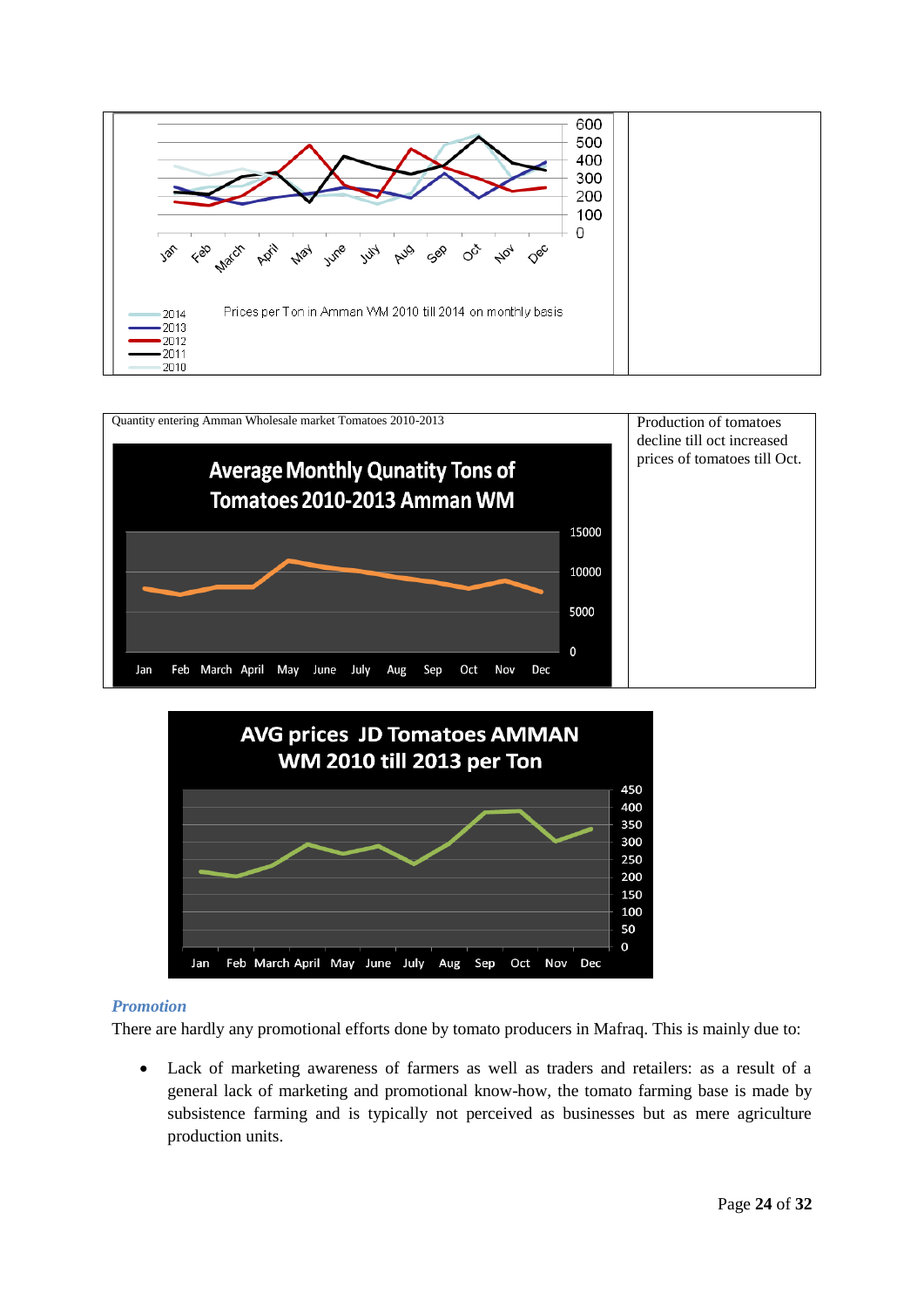





#### *Promotion*

There are hardly any promotional efforts done by tomato producers in Mafraq. This is mainly due to:

 Lack of marketing awareness of farmers as well as traders and retailers: as a result of a general lack of marketing and promotional know-how, the tomato farming base is made by subsistence farming and is typically not perceived as businesses but as mere agriculture production units.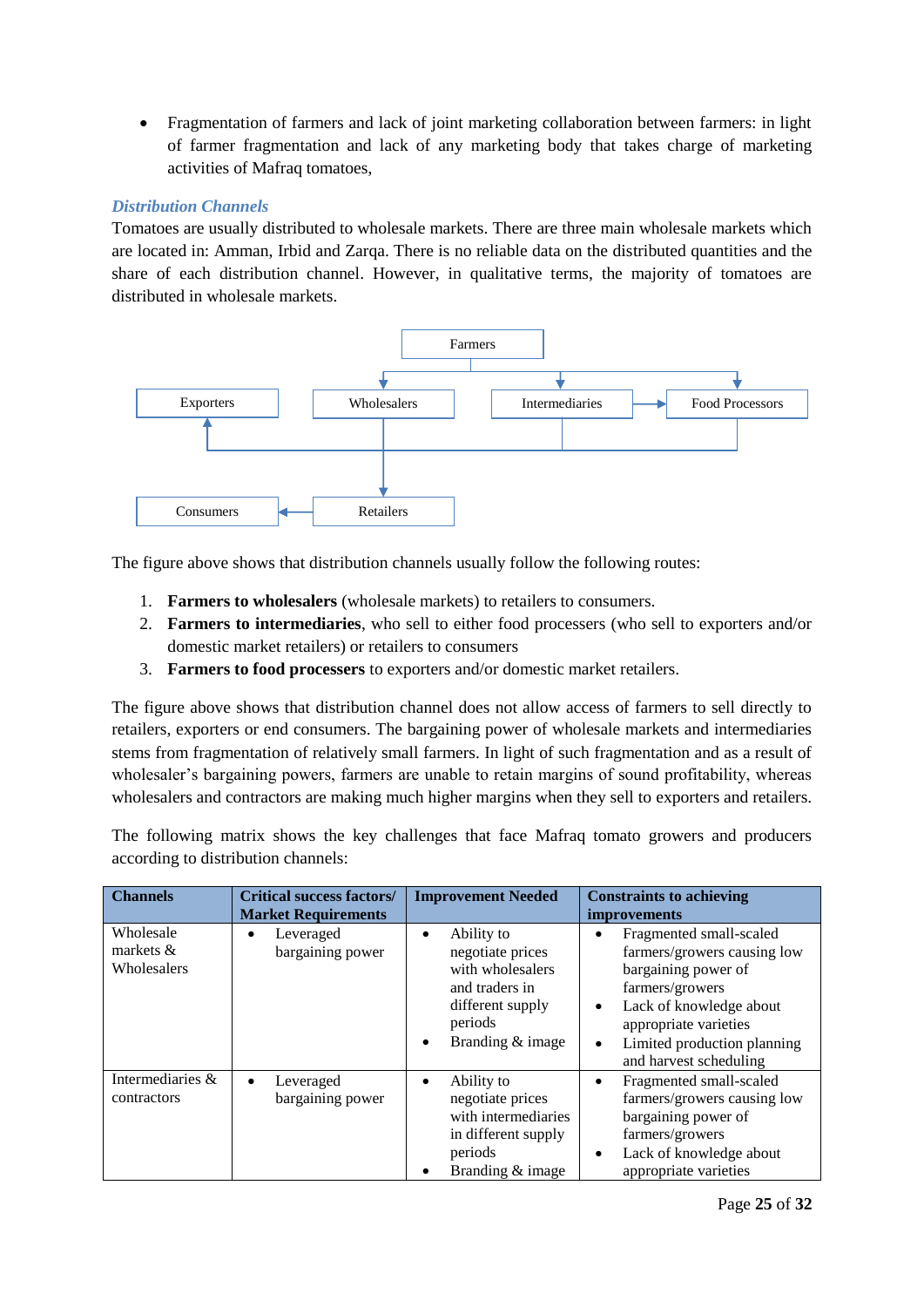Fragmentation of farmers and lack of joint marketing collaboration between farmers: in light of farmer fragmentation and lack of any marketing body that takes charge of marketing activities of Mafraq tomatoes,

#### *Distribution Channels*

Tomatoes are usually distributed to wholesale markets. There are three main wholesale markets which are located in: Amman, Irbid and Zarqa. There is no reliable data on the distributed quantities and the share of each distribution channel. However, in qualitative terms, the majority of tomatoes are distributed in wholesale markets.



The figure above shows that distribution channels usually follow the following routes:

- 1. **Farmers to wholesalers** (wholesale markets) to retailers to consumers.
- 2. **Farmers to intermediaries**, who sell to either food processers (who sell to exporters and/or domestic market retailers) or retailers to consumers
- 3. **Farmers to food processers** to exporters and/or domestic market retailers.

The figure above shows that distribution channel does not allow access of farmers to sell directly to retailers, exporters or end consumers. The bargaining power of wholesale markets and intermediaries stems from fragmentation of relatively small farmers. In light of such fragmentation and as a result of wholesaler's bargaining powers, farmers are unable to retain margins of sound profitability, whereas wholesalers and contractors are making much higher margins when they sell to exporters and retailers.

The following matrix shows the key challenges that face Mafraq tomato growers and producers according to distribution channels:

| <b>Channels</b>                         | <b>Critical success factors/</b>           | <b>Improvement Needed</b>                                                                                                                 | <b>Constraints to achieving</b>                                                                                                                                                                                                                      |
|-----------------------------------------|--------------------------------------------|-------------------------------------------------------------------------------------------------------------------------------------------|------------------------------------------------------------------------------------------------------------------------------------------------------------------------------------------------------------------------------------------------------|
|                                         | <b>Market Requirements</b>                 |                                                                                                                                           | <i>improvements</i>                                                                                                                                                                                                                                  |
| Wholesale<br>markets $&$<br>Wholesalers | Leveraged<br>٠<br>bargaining power         | Ability to<br>٠<br>negotiate prices<br>with wholesalers<br>and traders in<br>different supply<br>periods<br>Branding & image<br>$\bullet$ | Fragmented small-scaled<br>$\bullet$<br>farmers/growers causing low<br>bargaining power of<br>farmers/growers<br>Lack of knowledge about<br>$\bullet$<br>appropriate varieties<br>Limited production planning<br>$\bullet$<br>and harvest scheduling |
| Intermediaries &<br>contractors         | Leveraged<br>$\bullet$<br>bargaining power | Ability to<br>$\bullet$<br>negotiate prices<br>with intermediaries<br>in different supply<br>periods<br>Branding & image                  | Fragmented small-scaled<br>$\bullet$<br>farmers/growers causing low<br>bargaining power of<br>farmers/growers<br>Lack of knowledge about<br>$\bullet$<br>appropriate varieties                                                                       |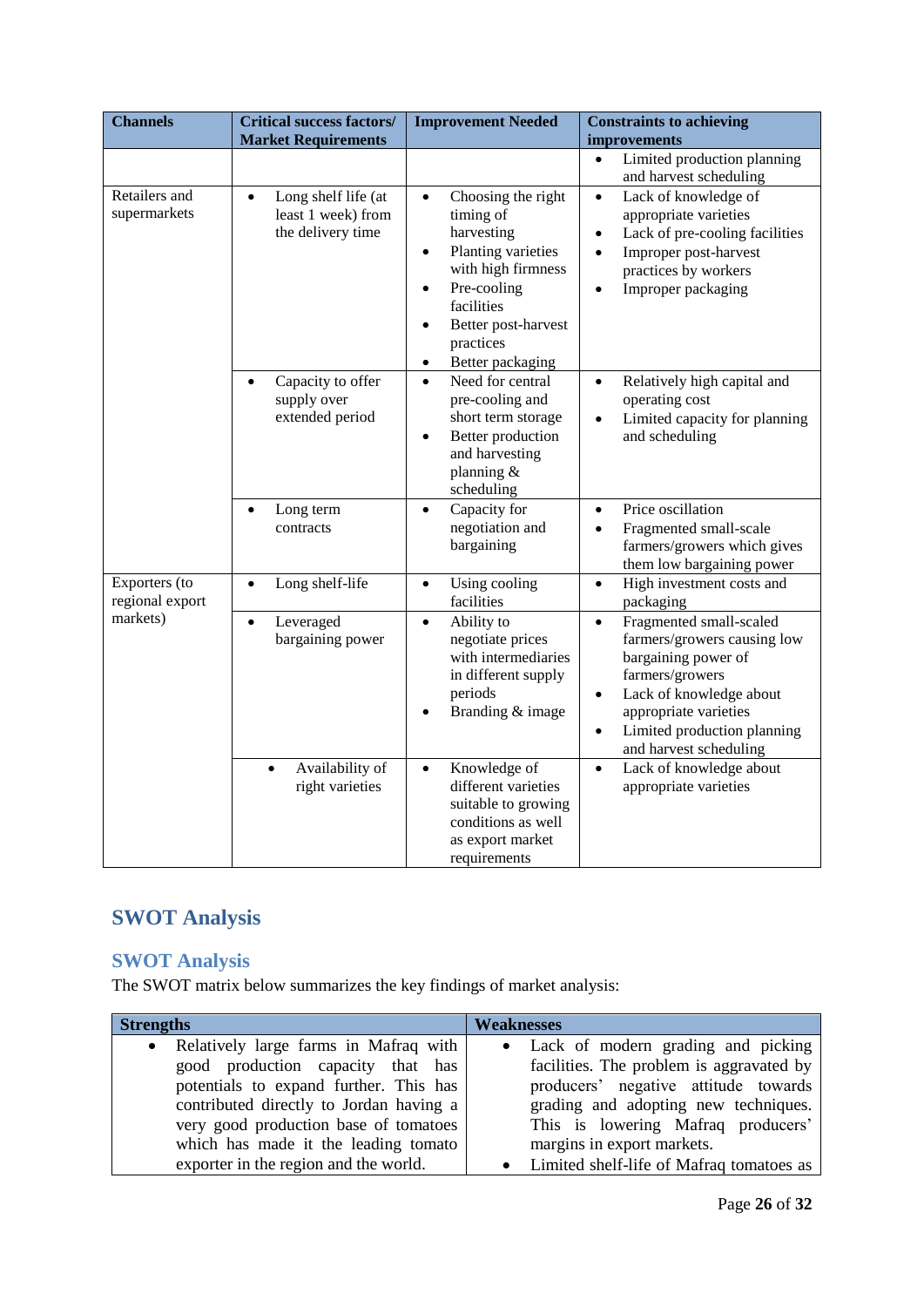| <b>Channels</b>                  | <b>Critical success factors/</b><br><b>Market Requirements</b>              | <b>Improvement Needed</b>                                                                                                                                                                                                                       | <b>Constraints to achieving</b><br>improvements                                                                                                                                                                                                      |
|----------------------------------|-----------------------------------------------------------------------------|-------------------------------------------------------------------------------------------------------------------------------------------------------------------------------------------------------------------------------------------------|------------------------------------------------------------------------------------------------------------------------------------------------------------------------------------------------------------------------------------------------------|
|                                  |                                                                             |                                                                                                                                                                                                                                                 | Limited production planning<br>$\bullet$<br>and harvest scheduling                                                                                                                                                                                   |
| Retailers and<br>supermarkets    | Long shelf life (at<br>$\bullet$<br>least 1 week) from<br>the delivery time | Choosing the right<br>$\bullet$<br>timing of<br>harvesting<br>Planting varieties<br>$\bullet$<br>with high firmness<br>Pre-cooling<br>$\bullet$<br>facilities<br>Better post-harvest<br>$\bullet$<br>practices<br>Better packaging<br>$\bullet$ | Lack of knowledge of<br>$\bullet$<br>appropriate varieties<br>Lack of pre-cooling facilities<br>$\bullet$<br>Improper post-harvest<br>$\bullet$<br>practices by workers<br>Improper packaging<br>$\bullet$                                           |
|                                  | Capacity to offer<br>$\bullet$<br>supply over<br>extended period            | Need for central<br>$\bullet$<br>pre-cooling and<br>short term storage<br>Better production<br>$\bullet$<br>and harvesting<br>planning &<br>scheduling                                                                                          | Relatively high capital and<br>$\bullet$<br>operating cost<br>Limited capacity for planning<br>$\bullet$<br>and scheduling                                                                                                                           |
|                                  | Long term<br>$\bullet$<br>contracts                                         | Capacity for<br>$\bullet$<br>negotiation and<br>bargaining                                                                                                                                                                                      | Price oscillation<br>$\bullet$<br>Fragmented small-scale<br>$\bullet$<br>farmers/growers which gives<br>them low bargaining power                                                                                                                    |
| Exporters (to<br>regional export | Long shelf-life<br>$\bullet$                                                | Using cooling<br>$\bullet$<br>facilities                                                                                                                                                                                                        | High investment costs and<br>$\bullet$<br>packaging                                                                                                                                                                                                  |
| markets)                         | Leveraged<br>$\bullet$<br>bargaining power                                  | Ability to<br>$\bullet$<br>negotiate prices<br>with intermediaries<br>in different supply<br>periods<br>Branding & image                                                                                                                        | Fragmented small-scaled<br>$\bullet$<br>farmers/growers causing low<br>bargaining power of<br>farmers/growers<br>Lack of knowledge about<br>$\bullet$<br>appropriate varieties<br>Limited production planning<br>$\bullet$<br>and harvest scheduling |
|                                  | Availability of<br>$\bullet$<br>right varieties                             | Knowledge of<br>$\bullet$<br>different varieties<br>suitable to growing<br>conditions as well<br>as export market<br>requirements                                                                                                               | Lack of knowledge about<br>$\bullet$<br>appropriate varieties                                                                                                                                                                                        |

# <span id="page-25-0"></span>**SWOT Analysis**

# <span id="page-25-1"></span>**SWOT Analysis**

The SWOT matrix below summarizes the key findings of market analysis:

| <b>Strengths</b>                        | Weaknesses                                 |
|-----------------------------------------|--------------------------------------------|
| • Relatively large farms in Mafraq with | • Lack of modern grading and picking       |
| good production capacity that has       | facilities. The problem is aggravated by   |
| potentials to expand further. This has  | producers' negative attitude towards       |
| contributed directly to Jordan having a | grading and adopting new techniques.       |
| very good production base of tomatoes   | This is lowering Mafraq producers'         |
| which has made it the leading tomato    | margins in export markets.                 |
| exporter in the region and the world.   | • Limited shelf-life of Mafraq tomatoes as |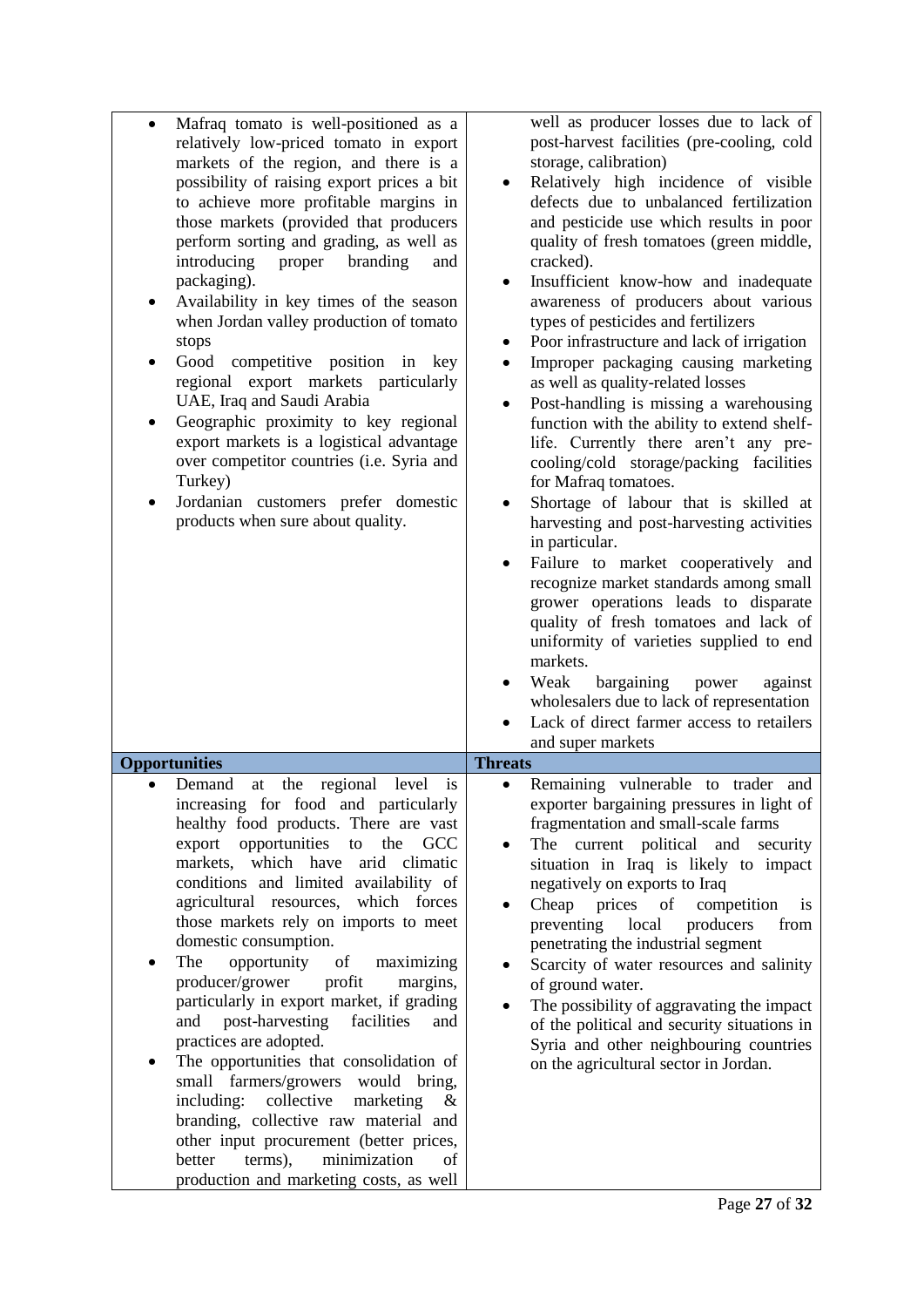| Mafraq tomato is well-positioned as a<br>$\bullet$<br>relatively low-priced tomato in export<br>markets of the region, and there is a<br>possibility of raising export prices a bit<br>to achieve more profitable margins in<br>those markets (provided that producers<br>perform sorting and grading, as well as<br>introducing<br>proper<br>branding<br>and<br>packaging).<br>Availability in key times of the season<br>when Jordan valley production of tomato<br>stops<br>Good<br>competitive position in key<br>regional export markets particularly<br>UAE, Iraq and Saudi Arabia<br>Geographic proximity to key regional<br>export markets is a logistical advantage<br>over competitor countries (i.e. Syria and<br>Turkey)<br>Jordanian customers prefer domestic<br>products when sure about quality.                                                                                               | well as producer losses due to lack of<br>post-harvest facilities (pre-cooling, cold<br>storage, calibration)<br>Relatively high incidence of visible<br>defects due to unbalanced fertilization<br>and pesticide use which results in poor<br>quality of fresh tomatoes (green middle,<br>cracked).<br>Insufficient know-how and inadequate<br>$\bullet$<br>awareness of producers about various<br>types of pesticides and fertilizers<br>Poor infrastructure and lack of irrigation<br>٠<br>Improper packaging causing marketing<br>٠<br>as well as quality-related losses<br>Post-handling is missing a warehousing<br>$\bullet$<br>function with the ability to extend shelf-<br>life. Currently there aren't any pre-<br>cooling/cold storage/packing facilities<br>for Mafraq tomatoes.<br>Shortage of labour that is skilled at<br>$\bullet$<br>harvesting and post-harvesting activities<br>in particular.<br>Failure to market cooperatively and<br>recognize market standards among small<br>grower operations leads to disparate<br>quality of fresh tomatoes and lack of<br>uniformity of varieties supplied to end<br>markets.<br>Weak<br>bargaining<br>power<br>against<br>$\bullet$<br>wholesalers due to lack of representation<br>Lack of direct farmer access to retailers<br>and super markets |
|----------------------------------------------------------------------------------------------------------------------------------------------------------------------------------------------------------------------------------------------------------------------------------------------------------------------------------------------------------------------------------------------------------------------------------------------------------------------------------------------------------------------------------------------------------------------------------------------------------------------------------------------------------------------------------------------------------------------------------------------------------------------------------------------------------------------------------------------------------------------------------------------------------------|--------------------------------------------------------------------------------------------------------------------------------------------------------------------------------------------------------------------------------------------------------------------------------------------------------------------------------------------------------------------------------------------------------------------------------------------------------------------------------------------------------------------------------------------------------------------------------------------------------------------------------------------------------------------------------------------------------------------------------------------------------------------------------------------------------------------------------------------------------------------------------------------------------------------------------------------------------------------------------------------------------------------------------------------------------------------------------------------------------------------------------------------------------------------------------------------------------------------------------------------------------------------------------------------------------------------|
| <b>Opportunities</b>                                                                                                                                                                                                                                                                                                                                                                                                                                                                                                                                                                                                                                                                                                                                                                                                                                                                                           | <b>Threats</b>                                                                                                                                                                                                                                                                                                                                                                                                                                                                                                                                                                                                                                                                                                                                                                                                                                                                                                                                                                                                                                                                                                                                                                                                                                                                                                     |
| Demand<br>regional<br>level<br>at the<br>is<br>increasing for food and particularly<br>healthy food products. There are vast<br>export opportunities to<br>the GCC<br>markets,<br>which have<br>arid climatic<br>conditions and limited availability of<br>agricultural resources,<br>which forces<br>those markets rely on imports to meet<br>domestic consumption.<br>The<br>opportunity<br><sub>of</sub><br>maximizing<br>producer/grower<br>profit<br>margins,<br>particularly in export market, if grading<br>post-harvesting<br>facilities<br>and<br>and<br>practices are adopted.<br>The opportunities that consolidation of<br>$\bullet$<br>small farmers/growers would bring,<br>including: collective<br>marketing<br>$\&$<br>branding, collective raw material and<br>other input procurement (better prices,<br>terms),<br>minimization<br>better<br>of<br>production and marketing costs, as well | Remaining vulnerable to trader and<br>$\bullet$<br>exporter bargaining pressures in light of<br>fragmentation and small-scale farms<br>The current political and security<br>situation in Iraq is likely to impact<br>negatively on exports to Iraq<br>Cheap<br>prices of<br>competition<br>is<br>preventing local<br>producers<br>from<br>penetrating the industrial segment<br>Scarcity of water resources and salinity<br>of ground water.<br>The possibility of aggravating the impact<br>$\bullet$<br>of the political and security situations in<br>Syria and other neighbouring countries<br>on the agricultural sector in Jordan.                                                                                                                                                                                                                                                                                                                                                                                                                                                                                                                                                                                                                                                                          |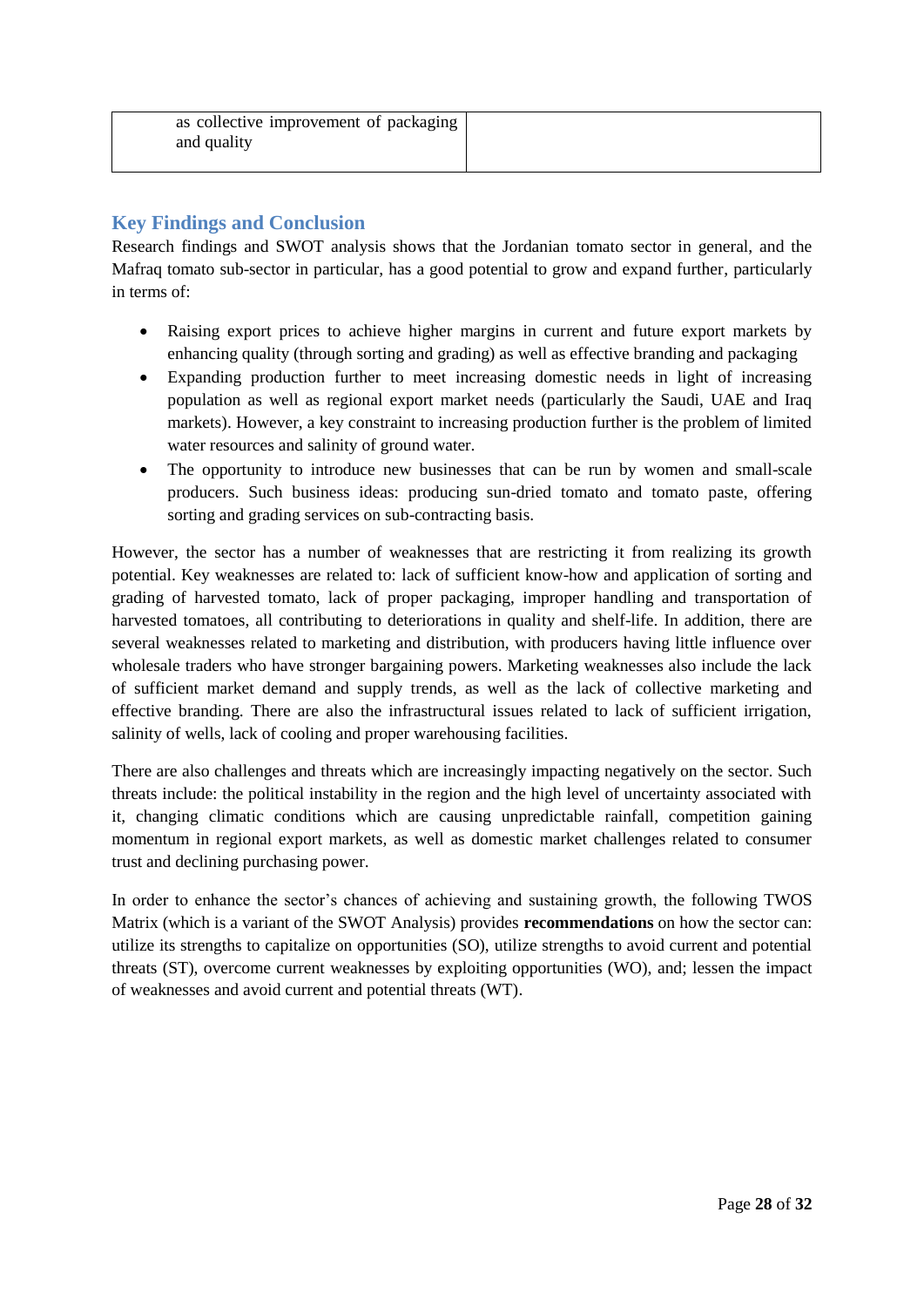| as collective improvement of packaging |  |
|----------------------------------------|--|
| and quality                            |  |
|                                        |  |

## <span id="page-27-0"></span>**Key Findings and Conclusion**

Research findings and SWOT analysis shows that the Jordanian tomato sector in general, and the Mafraq tomato sub-sector in particular, has a good potential to grow and expand further, particularly in terms of:

- Raising export prices to achieve higher margins in current and future export markets by enhancing quality (through sorting and grading) as well as effective branding and packaging
- Expanding production further to meet increasing domestic needs in light of increasing population as well as regional export market needs (particularly the Saudi, UAE and Iraq markets). However, a key constraint to increasing production further is the problem of limited water resources and salinity of ground water.
- The opportunity to introduce new businesses that can be run by women and small-scale producers. Such business ideas: producing sun-dried tomato and tomato paste, offering sorting and grading services on sub-contracting basis.

However, the sector has a number of weaknesses that are restricting it from realizing its growth potential. Key weaknesses are related to: lack of sufficient know-how and application of sorting and grading of harvested tomato, lack of proper packaging, improper handling and transportation of harvested tomatoes, all contributing to deteriorations in quality and shelf-life. In addition, there are several weaknesses related to marketing and distribution, with producers having little influence over wholesale traders who have stronger bargaining powers. Marketing weaknesses also include the lack of sufficient market demand and supply trends, as well as the lack of collective marketing and effective branding. There are also the infrastructural issues related to lack of sufficient irrigation, salinity of wells, lack of cooling and proper warehousing facilities.

There are also challenges and threats which are increasingly impacting negatively on the sector. Such threats include: the political instability in the region and the high level of uncertainty associated with it, changing climatic conditions which are causing unpredictable rainfall, competition gaining momentum in regional export markets, as well as domestic market challenges related to consumer trust and declining purchasing power.

In order to enhance the sector's chances of achieving and sustaining growth, the following TWOS Matrix (which is a variant of the SWOT Analysis) provides **recommendations** on how the sector can: utilize its strengths to capitalize on opportunities (SO), utilize strengths to avoid current and potential threats (ST), overcome current weaknesses by exploiting opportunities (WO), and; lessen the impact of weaknesses and avoid current and potential threats (WT).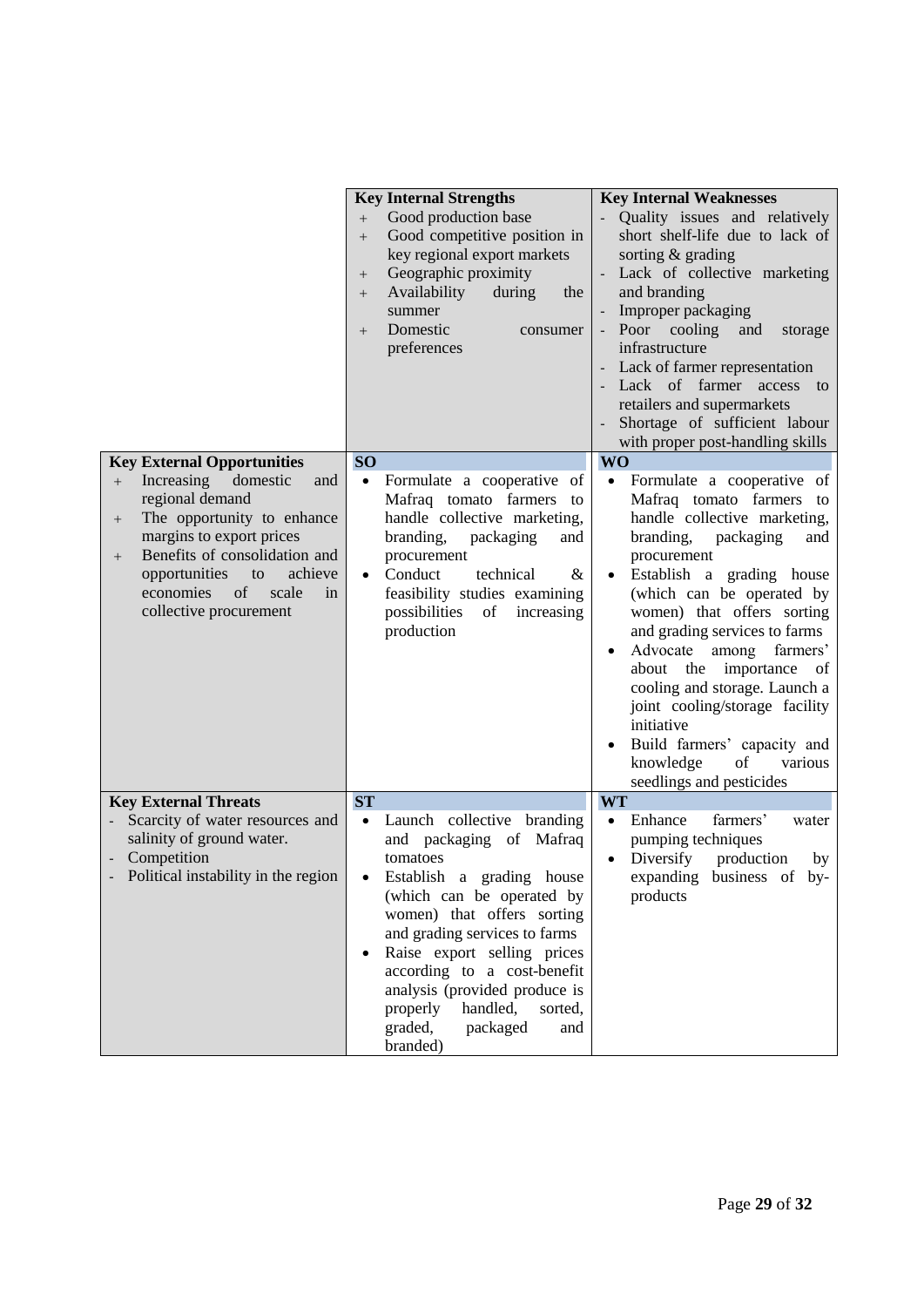|                                                                                                                                                                                                                                                                         | <b>Key Internal Strengths</b><br>Good production base<br>$+$<br>Good competitive position in<br>$+$<br>key regional export markets<br>Geographic proximity<br>$^{+}$<br>Availability<br>during<br>the<br>$^{+}$<br>summer<br>Domestic<br>consumer<br>$+$<br>preferences                                                                                                                          | <b>Key Internal Weaknesses</b><br>Quality issues and relatively<br>short shelf-life due to lack of<br>sorting & grading<br>- Lack of collective marketing<br>and branding<br>Improper packaging<br>Poor cooling<br>and<br>storage<br>infrastructure<br>Lack of farmer representation<br>Lack of farmer access to<br>retailers and supermarkets<br>Shortage of sufficient labour<br>with proper post-handling skills                                                                                                   |
|-------------------------------------------------------------------------------------------------------------------------------------------------------------------------------------------------------------------------------------------------------------------------|--------------------------------------------------------------------------------------------------------------------------------------------------------------------------------------------------------------------------------------------------------------------------------------------------------------------------------------------------------------------------------------------------|-----------------------------------------------------------------------------------------------------------------------------------------------------------------------------------------------------------------------------------------------------------------------------------------------------------------------------------------------------------------------------------------------------------------------------------------------------------------------------------------------------------------------|
| <b>Key External Opportunities</b>                                                                                                                                                                                                                                       | <b>SO</b>                                                                                                                                                                                                                                                                                                                                                                                        | <b>WO</b>                                                                                                                                                                                                                                                                                                                                                                                                                                                                                                             |
| Increasing<br>domestic<br>and<br>$^{+}$<br>regional demand<br>The opportunity to enhance<br>$^{+}$<br>margins to export prices<br>Benefits of consolidation and<br>$^{+}$<br>opportunities<br>achieve<br>to<br>economies<br>of<br>scale<br>in<br>collective procurement | Formulate a cooperative of<br>$\bullet$<br>Mafraq tomato farmers<br>to<br>handle collective marketing,<br>branding,<br>packaging<br>and<br>procurement<br>Conduct<br>technical<br>&<br>$\bullet$<br>feasibility studies examining<br>possibilities<br>of<br>increasing<br>production                                                                                                             | Formulate a cooperative of<br>$\bullet$<br>Mafraq tomato farmers to<br>handle collective marketing,<br>branding,<br>packaging<br>and<br>procurement<br>Establish a grading house<br>(which can be operated by<br>women) that offers sorting<br>and grading services to farms<br>Advocate<br>among<br>farmers'<br>importance of<br>about the<br>cooling and storage. Launch a<br>joint cooling/storage facility<br>initiative<br>Build farmers' capacity and<br>knowledge<br>of<br>various<br>seedlings and pesticides |
| <b>Key External Threats</b><br>Scarcity of water resources and<br>salinity of ground water.<br>Competition<br>Political instability in the region                                                                                                                       | <b>ST</b><br>Launch collective branding<br>$\bullet$<br>and packaging of Mafraq<br>tomatoes<br>Establish a grading house<br>(which can be operated by<br>women) that offers sorting<br>and grading services to farms<br>Raise export selling prices<br>according to a cost-benefit<br>analysis (provided produce is<br>handled,<br>sorted,<br>properly<br>packaged<br>graded,<br>and<br>branded) | <b>WT</b><br>farmers'<br>Enhance<br>$\bullet$<br>water<br>pumping techniques<br>Diversify<br>production<br>$\bullet$<br>by<br>expanding business of by-<br>products                                                                                                                                                                                                                                                                                                                                                   |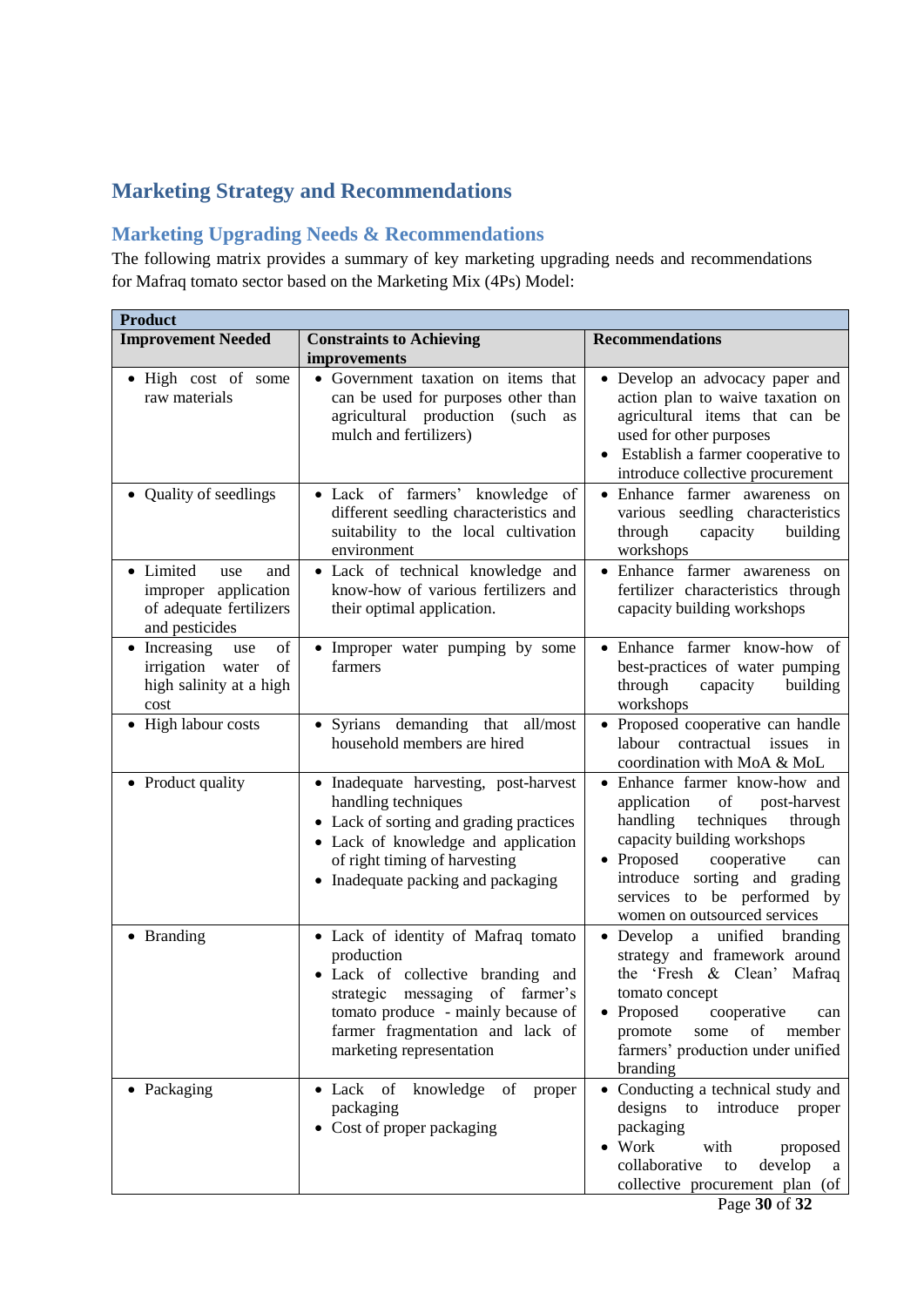# <span id="page-29-0"></span>**Marketing Strategy and Recommendations**

## <span id="page-29-1"></span>**Marketing Upgrading Needs & Recommendations**

The following matrix provides a summary of key marketing upgrading needs and recommendations for Mafraq tomato sector based on the Marketing Mix (4Ps) Model:

| <b>Product</b>                                                                               |                                                                                                                                                                                                                                 |                                                                                                                                                                                                                                                                            |
|----------------------------------------------------------------------------------------------|---------------------------------------------------------------------------------------------------------------------------------------------------------------------------------------------------------------------------------|----------------------------------------------------------------------------------------------------------------------------------------------------------------------------------------------------------------------------------------------------------------------------|
| <b>Improvement Needed</b>                                                                    | <b>Constraints to Achieving</b>                                                                                                                                                                                                 | <b>Recommendations</b>                                                                                                                                                                                                                                                     |
|                                                                                              | improvements                                                                                                                                                                                                                    |                                                                                                                                                                                                                                                                            |
| • High cost of some<br>raw materials                                                         | • Government taxation on items that<br>can be used for purposes other than<br>agricultural production (such<br>as<br>mulch and fertilizers)                                                                                     | • Develop an advocacy paper and<br>action plan to waive taxation on<br>agricultural items that can be<br>used for other purposes<br>Establish a farmer cooperative to<br>introduce collective procurement                                                                  |
| • Quality of seedlings                                                                       | • Lack of farmers' knowledge of<br>different seedling characteristics and<br>suitability to the local cultivation<br>environment                                                                                                | · Enhance farmer awareness on<br>various seedling characteristics<br>through<br>capacity<br>building<br>workshops                                                                                                                                                          |
| • Limited<br>and<br>use<br>improper application<br>of adequate fertilizers<br>and pesticides | · Lack of technical knowledge and<br>know-how of various fertilizers and<br>their optimal application.                                                                                                                          | • Enhance farmer awareness on<br>fertilizer characteristics through<br>capacity building workshops                                                                                                                                                                         |
| of<br>• Increasing<br>use<br>of<br>irrigation<br>water<br>high salinity at a high<br>cost    | • Improper water pumping by some<br>farmers                                                                                                                                                                                     | • Enhance farmer know-how of<br>best-practices of water pumping<br>through<br>capacity<br>building<br>workshops                                                                                                                                                            |
| • High labour costs                                                                          | • Syrians demanding that all/most<br>household members are hired                                                                                                                                                                | • Proposed cooperative can handle<br>labour<br>contractual<br>issues<br>in<br>coordination with MoA & MoL                                                                                                                                                                  |
| • Product quality                                                                            | • Inadequate harvesting, post-harvest<br>handling techniques<br>• Lack of sorting and grading practices<br>• Lack of knowledge and application<br>of right timing of harvesting<br>• Inadequate packing and packaging           | • Enhance farmer know-how and<br>application<br>of<br>post-harvest<br>techniques<br>handling<br>through<br>capacity building workshops<br>• Proposed<br>cooperative<br>can<br>introduce sorting and grading<br>services to be performed by<br>women on outsourced services |
| • Branding                                                                                   | • Lack of identity of Mafraq tomato<br>production<br>· Lack of collective branding and<br>strategic messaging of farmer's<br>tomato produce - mainly because of<br>farmer fragmentation and lack of<br>marketing representation | • Develop a unified branding<br>strategy and framework around<br>the 'Fresh & Clean' Mafraq<br>tomato concept<br>cooperative<br>Proposed<br>can<br>of<br>member<br>promote<br>some<br>farmers' production under unified<br>branding                                        |
| • Packaging                                                                                  | • Lack of<br>knowledge<br>of<br>proper<br>packaging<br>• Cost of proper packaging                                                                                                                                               | • Conducting a technical study and<br>designs<br>introduce<br>to<br>proper<br>packaging<br>$\bullet$ Work<br>with<br>proposed<br>collaborative<br>develop<br>to<br>a<br>collective procurement plan (of                                                                    |

Page **30** of **32**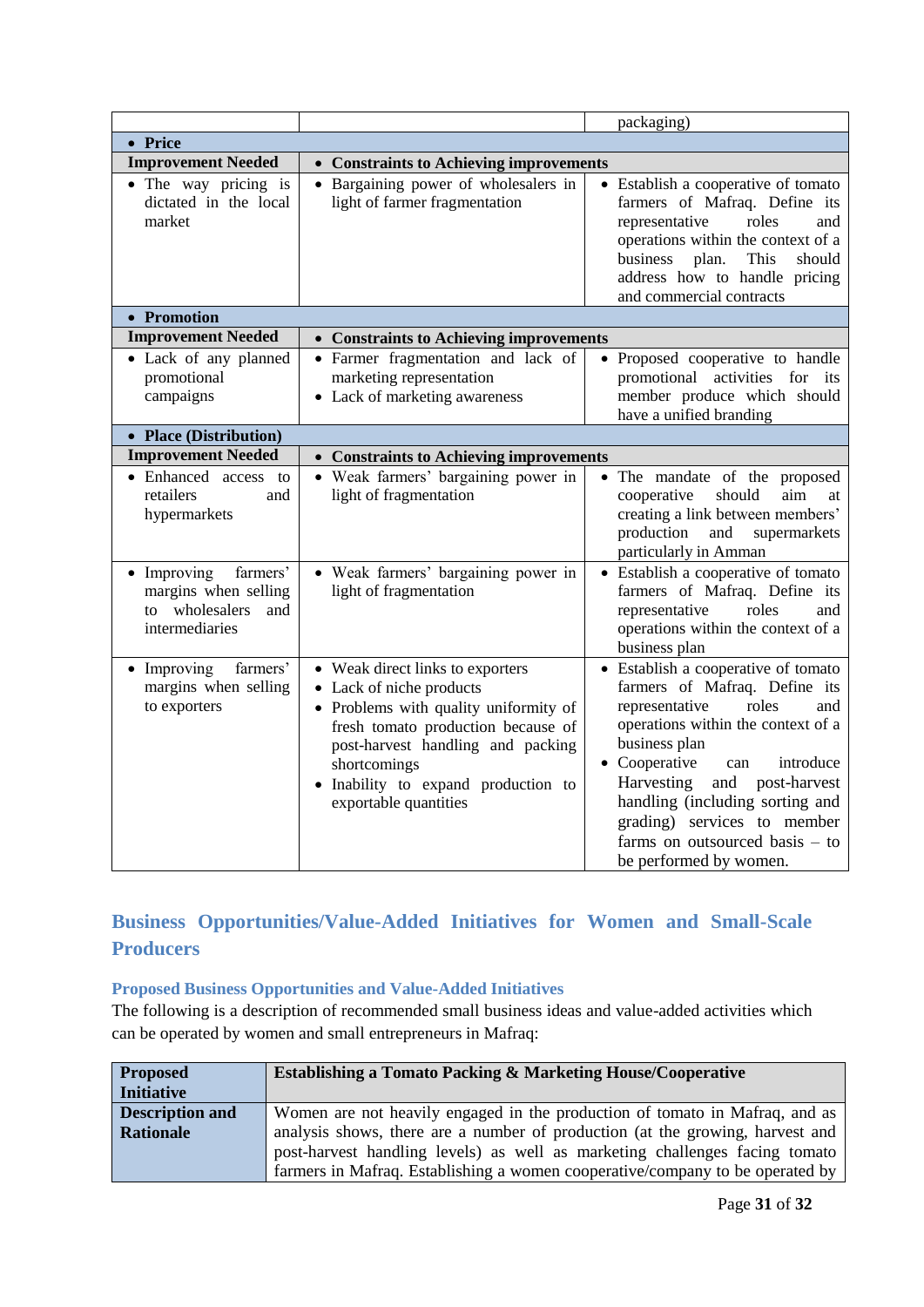|                                                                                            |                                                                                                                                                                                                                                                                  | packaging)                                                                                                                                                                                                                                                                                                                                                           |
|--------------------------------------------------------------------------------------------|------------------------------------------------------------------------------------------------------------------------------------------------------------------------------------------------------------------------------------------------------------------|----------------------------------------------------------------------------------------------------------------------------------------------------------------------------------------------------------------------------------------------------------------------------------------------------------------------------------------------------------------------|
| • Price                                                                                    |                                                                                                                                                                                                                                                                  |                                                                                                                                                                                                                                                                                                                                                                      |
| <b>Improvement Needed</b>                                                                  | • Constraints to Achieving improvements                                                                                                                                                                                                                          |                                                                                                                                                                                                                                                                                                                                                                      |
| • The way pricing is<br>dictated in the local<br>market                                    | • Bargaining power of wholesalers in<br>light of farmer fragmentation                                                                                                                                                                                            | • Establish a cooperative of tomato<br>farmers of Mafraq. Define its<br>representative<br>roles<br>and<br>operations within the context of a<br>business<br>plan.<br>This<br>should<br>address how to handle pricing<br>and commercial contracts                                                                                                                     |
| • Promotion                                                                                |                                                                                                                                                                                                                                                                  |                                                                                                                                                                                                                                                                                                                                                                      |
| <b>Improvement Needed</b>                                                                  | • Constraints to Achieving improvements                                                                                                                                                                                                                          |                                                                                                                                                                                                                                                                                                                                                                      |
| • Lack of any planned<br>promotional<br>campaigns<br>• Place (Distribution)                | • Farmer fragmentation and lack of<br>marketing representation<br>• Lack of marketing awareness                                                                                                                                                                  | • Proposed cooperative to handle<br>promotional<br>activities for<br>its<br>member produce which should<br>have a unified branding                                                                                                                                                                                                                                   |
| <b>Improvement Needed</b>                                                                  | • Constraints to Achieving improvements                                                                                                                                                                                                                          |                                                                                                                                                                                                                                                                                                                                                                      |
| • Enhanced access to<br>retailers<br>and<br>hypermarkets                                   | • Weak farmers' bargaining power in<br>light of fragmentation                                                                                                                                                                                                    | • The mandate of the proposed<br>cooperative<br>should<br>aim<br>at<br>creating a link between members'<br>production<br>and<br>supermarkets<br>particularly in Amman                                                                                                                                                                                                |
| farmers'<br>• Improving<br>margins when selling<br>to wholesalers<br>and<br>intermediaries | • Weak farmers' bargaining power in<br>light of fragmentation                                                                                                                                                                                                    | • Establish a cooperative of tomato<br>farmers of Mafraq. Define its<br>representative<br>roles<br>and<br>operations within the context of a<br>business plan                                                                                                                                                                                                        |
| • Improving<br>farmers'<br>margins when selling<br>to exporters                            | • Weak direct links to exporters<br>• Lack of niche products<br>• Problems with quality uniformity of<br>fresh tomato production because of<br>post-harvest handling and packing<br>shortcomings<br>· Inability to expand production to<br>exportable quantities | • Establish a cooperative of tomato<br>farmers of Mafraq. Define its<br>representative<br>roles<br>and<br>operations within the context of a<br>business plan<br>• Cooperative<br>introduce<br>can<br>Harvesting<br>and post-harvest<br>handling (including sorting and<br>grading) services to member<br>farms on outsourced basis $-$ to<br>be performed by women. |

# <span id="page-30-0"></span>**Business Opportunities/Value-Added Initiatives for Women and Small-Scale Producers**

#### <span id="page-30-1"></span>**Proposed Business Opportunities and Value-Added Initiatives**

The following is a description of recommended small business ideas and value-added activities which can be operated by women and small entrepreneurs in Mafraq:

| <b>Proposed</b>        | <b>Establishing a Tomato Packing &amp; Marketing House/Cooperative</b>        |  |
|------------------------|-------------------------------------------------------------------------------|--|
| <b>Initiative</b>      |                                                                               |  |
| <b>Description and</b> | Women are not heavily engaged in the production of tomato in Mafraq, and as   |  |
| <b>Rationale</b>       | analysis shows, there are a number of production (at the growing, harvest and |  |
|                        | post-harvest handling levels) as well as marketing challenges facing tomato   |  |
|                        | farmers in Mafraq. Establishing a women cooperative/company to be operated by |  |